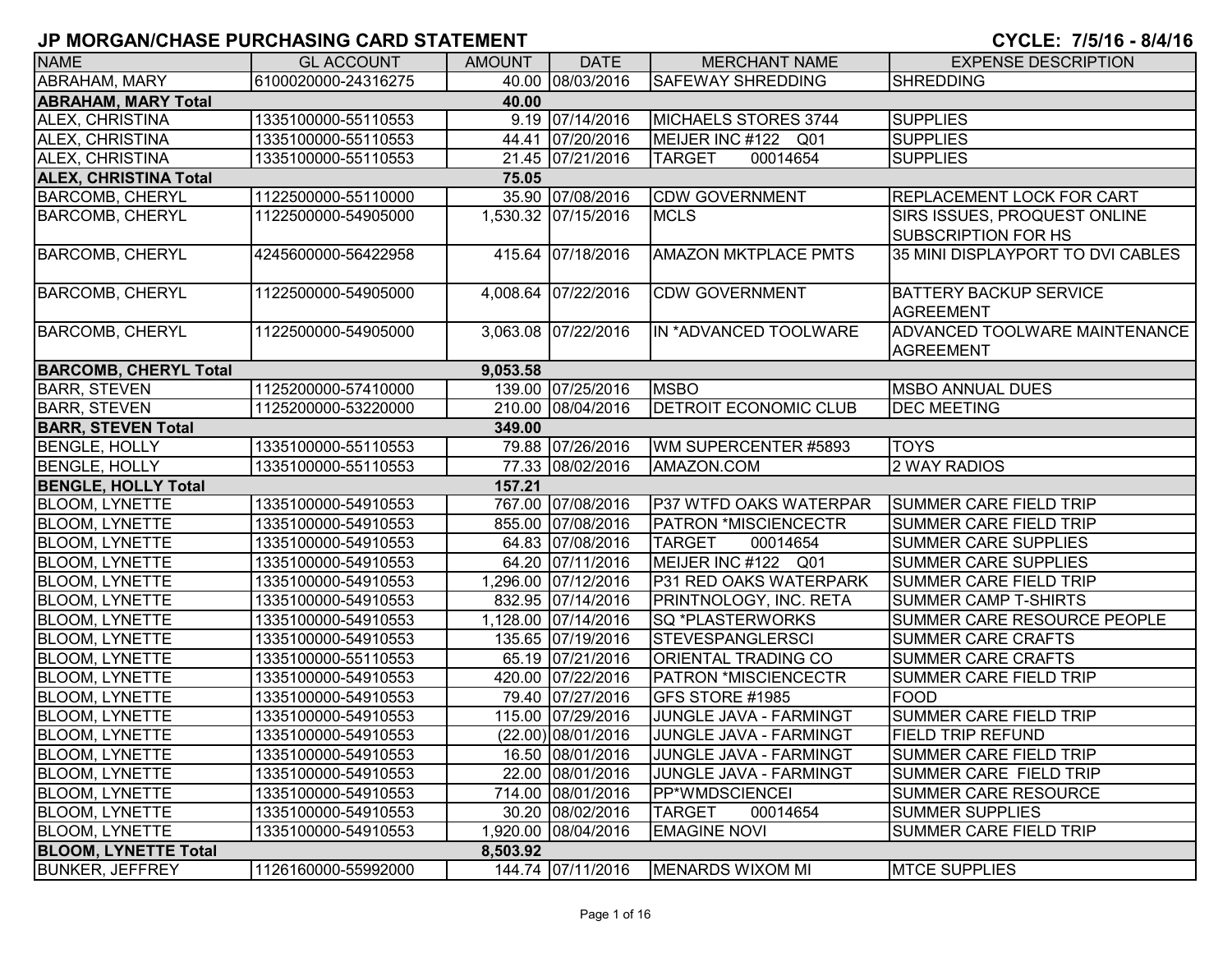| <b>NAME</b>                         | <b>GL ACCOUNT</b>   | <b>AMOUNT</b> | <b>DATE</b>         | <b>MERCHANT NAME</b>          | <b>EXPENSE DESCRIPTION</b>                                 |  |  |  |
|-------------------------------------|---------------------|---------------|---------------------|-------------------------------|------------------------------------------------------------|--|--|--|
| ABRAHAM, MARY                       | 6100020000-24316275 |               | 40.00 08/03/2016    | <b>SAFEWAY SHREDDING</b>      | <b>SHREDDING</b>                                           |  |  |  |
| <b>ABRAHAM, MARY Total</b><br>40.00 |                     |               |                     |                               |                                                            |  |  |  |
| ALEX, CHRISTINA                     | 1335100000-55110553 |               | 9.19 07/14/2016     | MICHAELS STORES 3744          | <b>SUPPLIES</b>                                            |  |  |  |
| ALEX, CHRISTINA                     | 1335100000-55110553 |               | 44.41 07/20/2016    | MEIJER INC #122 Q01           | <b>SUPPLIES</b>                                            |  |  |  |
| ALEX, CHRISTINA                     | 1335100000-55110553 |               | 21.45 07/21/2016    | 00014654<br><b>TARGET</b>     | <b>SUPPLIES</b>                                            |  |  |  |
| <b>ALEX, CHRISTINA Total</b>        |                     | 75.05         |                     |                               |                                                            |  |  |  |
| <b>BARCOMB, CHERYL</b>              | 1122500000-55110000 |               | 35.90 07/08/2016    | <b>CDW GOVERNMENT</b>         | <b>REPLACEMENT LOCK FOR CART</b>                           |  |  |  |
| <b>BARCOMB, CHERYL</b>              | 1122500000-54905000 |               | 1,530.32 07/15/2016 | <b>MCLS</b>                   | SIRS ISSUES, PROQUEST ONLINE<br><b>SUBSCRIPTION FOR HS</b> |  |  |  |
| <b>BARCOMB, CHERYL</b>              | 4245600000-56422958 |               | 415.64 07/18/2016   | <b>AMAZON MKTPLACE PMTS</b>   | 35 MINI DISPLAYPORT TO DVI CABLES                          |  |  |  |
| <b>BARCOMB, CHERYL</b>              | 1122500000-54905000 |               | 4,008.64 07/22/2016 | <b>CDW GOVERNMENT</b>         | <b>BATTERY BACKUP SERVICE</b><br><b>AGREEMENT</b>          |  |  |  |
| <b>BARCOMB, CHERYL</b>              | 1122500000-54905000 |               | 3,063.08 07/22/2016 | IN *ADVANCED TOOLWARE         | ADVANCED TOOLWARE MAINTENANCE<br><b>AGREEMENT</b>          |  |  |  |
| <b>BARCOMB, CHERYL Total</b>        |                     | 9,053.58      |                     |                               |                                                            |  |  |  |
| <b>BARR, STEVEN</b>                 | 1125200000-57410000 |               | 139.00 07/25/2016   | <b>MSBO</b>                   | <b>MSBO ANNUAL DUES</b>                                    |  |  |  |
| <b>BARR, STEVEN</b>                 | 1125200000-53220000 |               | 210.00 08/04/2016   | <b>DETROIT ECONOMIC CLUB</b>  | <b>DEC MEETING</b>                                         |  |  |  |
| <b>BARR, STEVEN Total</b>           |                     | 349.00        |                     |                               |                                                            |  |  |  |
| <b>BENGLE, HOLLY</b>                | 1335100000-55110553 |               | 79.88 07/26/2016    | WM SUPERCENTER #5893          | <b>TOYS</b>                                                |  |  |  |
| <b>BENGLE, HOLLY</b>                | 1335100000-55110553 |               | 77.33 08/02/2016    | AMAZON.COM                    | 2 WAY RADIOS                                               |  |  |  |
| <b>BENGLE, HOLLY Total</b>          |                     | 157.21        |                     |                               |                                                            |  |  |  |
| <b>BLOOM, LYNETTE</b>               | 1335100000-54910553 |               | 767.00 07/08/2016   | <b>P37 WTFD OAKS WATERPAR</b> | <b>SUMMER CARE FIELD TRIP</b>                              |  |  |  |
| <b>BLOOM, LYNETTE</b>               | 1335100000-54910553 |               | 855.00 07/08/2016   | <b>PATRON *MISCIENCECTR</b>   | <b>SUMMER CARE FIELD TRIP</b>                              |  |  |  |
| <b>BLOOM, LYNETTE</b>               | 1335100000-54910553 |               | 64.83 07/08/2016    | <b>TARGET</b><br>00014654     | <b>SUMMER CARE SUPPLIES</b>                                |  |  |  |
| <b>BLOOM, LYNETTE</b>               | 1335100000-54910553 |               | 64.20 07/11/2016    | MEIJER INC #122 Q01           | <b>SUMMER CARE SUPPLIES</b>                                |  |  |  |
| <b>BLOOM, LYNETTE</b>               | 1335100000-54910553 |               | 1,296.00 07/12/2016 | P31 RED OAKS WATERPARK        | <b>SUMMER CARE FIELD TRIP</b>                              |  |  |  |
| <b>BLOOM, LYNETTE</b>               | 1335100000-54910553 |               | 832.95 07/14/2016   | PRINTNOLOGY, INC. RETA        | <b>SUMMER CAMP T-SHIRTS</b>                                |  |  |  |
| <b>BLOOM, LYNETTE</b>               | 1335100000-54910553 |               | 1,128.00 07/14/2016 | <b>SQ *PLASTERWORKS</b>       | SUMMER CARE RESOURCE PEOPLE                                |  |  |  |
| <b>BLOOM, LYNETTE</b>               | 1335100000-54910553 |               | 135.65 07/19/2016   | <b>STEVESPANGLERSCI</b>       | SUMMER CARE CRAFTS                                         |  |  |  |
| <b>BLOOM, LYNETTE</b>               | 1335100000-55110553 |               | 65.19 07/21/2016    | ORIENTAL TRADING CO           | SUMMER CARE CRAFTS                                         |  |  |  |
| <b>BLOOM, LYNETTE</b>               | 1335100000-54910553 |               | 420.00 07/22/2016   | <b>PATRON *MISCIENCECTR</b>   | SUMMER CARE FIELD TRIP                                     |  |  |  |
| <b>BLOOM, LYNETTE</b>               | 1335100000-54910553 |               | 79.40 07/27/2016    | GFS STORE #1985               | <b>FOOD</b>                                                |  |  |  |
| <b>BLOOM, LYNETTE</b>               | 1335100000-54910553 |               | 115.00 07/29/2016   | JUNGLE JAVA - FARMINGT        | <b>SUMMER CARE FIELD TRIP</b>                              |  |  |  |
| <b>BLOOM, LYNETTE</b>               | 1335100000-54910553 |               | (22.00) 08/01/2016  | JUNGLE JAVA - FARMINGT        | <b>FIELD TRIP REFUND</b>                                   |  |  |  |
| <b>BLOOM, LYNETTE</b>               | 1335100000-54910553 |               | 16.50 08/01/2016    | JUNGLE JAVA - FARMINGT        | SUMMER CARE FIELD TRIP                                     |  |  |  |
| <b>BLOOM, LYNETTE</b>               | 1335100000-54910553 |               | 22.00 08/01/2016    | JUNGLE JAVA - FARMINGT        | SUMMER CARE FIELD TRIP                                     |  |  |  |
| <b>BLOOM, LYNETTE</b>               | 1335100000-54910553 |               | 714.00 08/01/2016   | <b>PP*WMDSCIENCEI</b>         | <b>SUMMER CARE RESOURCE</b>                                |  |  |  |
| <b>BLOOM, LYNETTE</b>               | 1335100000-54910553 |               | 30.20 08/02/2016    | <b>TARGET</b><br>00014654     | <b>SUMMER SUPPLIES</b>                                     |  |  |  |
| <b>BLOOM, LYNETTE</b>               | 1335100000-54910553 |               | 1,920.00 08/04/2016 | <b>EMAGINE NOVI</b>           | <b>SUMMER CARE FIELD TRIP</b>                              |  |  |  |
| <b>BLOOM, LYNETTE Total</b>         |                     | 8,503.92      |                     |                               |                                                            |  |  |  |
| <b>BUNKER, JEFFREY</b>              | 1126160000-55992000 |               | 144.74 07/11/2016   | MENARDS WIXOM MI              | <b>MTCE SUPPLIES</b>                                       |  |  |  |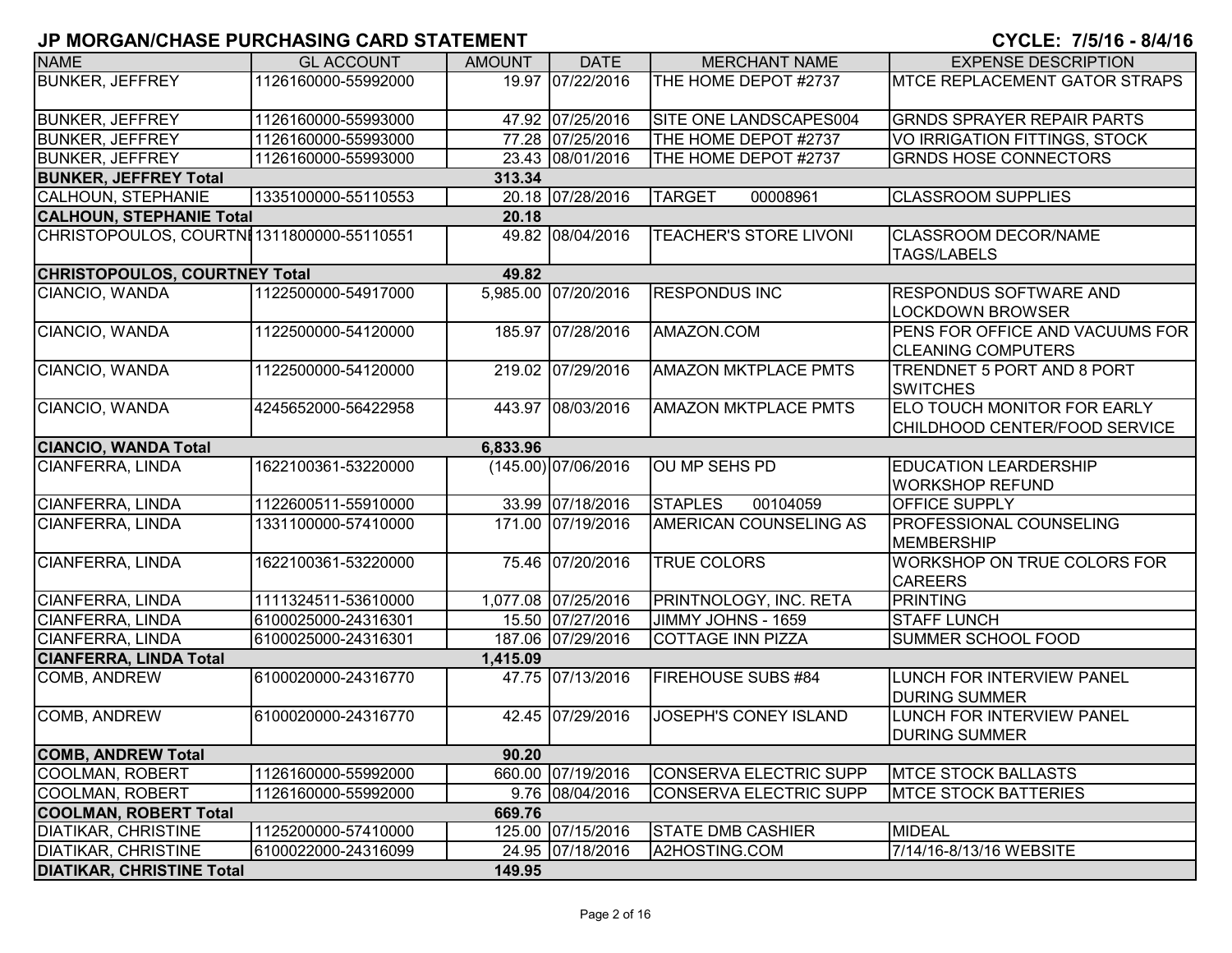| <b>NAME</b>                                | <b>GL ACCOUNT</b>   | <b>AMOUNT</b> | <b>DATE</b>           | <b>MERCHANT NAME</b>          | <b>EXPENSE DESCRIPTION</b>        |
|--------------------------------------------|---------------------|---------------|-----------------------|-------------------------------|-----------------------------------|
| <b>BUNKER, JEFFREY</b>                     | 1126160000-55992000 |               | 19.97 07/22/2016      | THE HOME DEPOT #2737          | MTCE REPLACEMENT GATOR STRAPS     |
|                                            |                     |               |                       |                               |                                   |
| <b>BUNKER, JEFFREY</b>                     | 1126160000-55993000 |               | 47.92 07/25/2016      | SITE ONE LANDSCAPES004        | <b>GRNDS SPRAYER REPAIR PARTS</b> |
| <b>BUNKER, JEFFREY</b>                     | 1126160000-55993000 |               | 77.28 07/25/2016      | THE HOME DEPOT #2737          | VO IRRIGATION FITTINGS, STOCK     |
| <b>BUNKER, JEFFREY</b>                     | 1126160000-55993000 |               | 23.43 08/01/2016      | THE HOME DEPOT #2737          | <b>GRNDS HOSE CONNECTORS</b>      |
| <b>BUNKER, JEFFREY Total</b>               |                     | 313.34        |                       |                               |                                   |
| CALHOUN, STEPHANIE                         | 1335100000-55110553 |               | 20.18 07/28/2016      | <b>TARGET</b><br>00008961     | <b>CLASSROOM SUPPLIES</b>         |
| <b>CALHOUN, STEPHANIE Total</b>            |                     | 20.18         |                       |                               |                                   |
| CHRISTOPOULOS, COURTNI 1311800000-55110551 |                     |               | 49.82 08/04/2016      | <b>TEACHER'S STORE LIVONI</b> | <b>CLASSROOM DECOR/NAME</b>       |
|                                            |                     |               |                       |                               | <b>TAGS/LABELS</b>                |
| <b>CHRISTOPOULOS, COURTNEY Total</b>       |                     | 49.82         |                       |                               |                                   |
| CIANCIO, WANDA                             | 1122500000-54917000 |               | 5,985.00 07/20/2016   | <b>RESPONDUS INC</b>          | RESPONDUS SOFTWARE AND            |
|                                            |                     |               |                       |                               | <b>LOCKDOWN BROWSER</b>           |
| CIANCIO, WANDA                             | 1122500000-54120000 |               | 185.97 07/28/2016     | AMAZON.COM                    | PENS FOR OFFICE AND VACUUMS FOR   |
|                                            |                     |               |                       |                               | <b>CLEANING COMPUTERS</b>         |
| CIANCIO, WANDA                             | 1122500000-54120000 |               | 219.02 07/29/2016     | <b>AMAZON MKTPLACE PMTS</b>   | TRENDNET 5 PORT AND 8 PORT        |
|                                            |                     |               |                       |                               | <b>SWITCHES</b>                   |
| CIANCIO, WANDA                             | 4245652000-56422958 |               | 443.97 08/03/2016     | <b>AMAZON MKTPLACE PMTS</b>   | ELO TOUCH MONITOR FOR EARLY       |
|                                            |                     |               |                       |                               | CHILDHOOD CENTER/FOOD SERVICE     |
| <b>CIANCIO, WANDA Total</b>                |                     | 6,833.96      |                       |                               |                                   |
| CIANFERRA, LINDA                           | 1622100361-53220000 |               | $(145.00)$ 07/06/2016 | OU MP SEHS PD                 | <b>EDUCATION LEARDERSHIP</b>      |
|                                            |                     |               |                       |                               | <b>WORKSHOP REFUND</b>            |
| CIANFERRA, LINDA                           | 1122600511-55910000 |               | 33.99 07/18/2016      | <b>STAPLES</b><br>00104059    | OFFICE SUPPLY                     |
| <b>CIANFERRA, LINDA</b>                    | 1331100000-57410000 |               | 171.00 07/19/2016     | AMERICAN COUNSELING AS        | PROFESSIONAL COUNSELING           |
|                                            |                     |               |                       |                               | <b>MEMBERSHIP</b>                 |
| <b>CIANFERRA, LINDA</b>                    | 1622100361-53220000 |               | 75.46 07/20/2016      | <b>TRUE COLORS</b>            | WORKSHOP ON TRUE COLORS FOR       |
|                                            |                     |               |                       |                               |                                   |
|                                            | 1111324511-53610000 |               | 1,077.08 07/25/2016   | PRINTNOLOGY, INC. RETA        | <b>CAREERS</b>                    |
| CIANFERRA, LINDA                           |                     |               |                       |                               | <b>PRINTING</b>                   |
| CIANFERRA, LINDA                           | 6100025000-24316301 |               | 15.50 07/27/2016      | JIMMY JOHNS - 1659            | <b>STAFF LUNCH</b>                |
| <b>CIANFERRA, LINDA</b>                    | 6100025000-24316301 |               | 187.06 07/29/2016     | <b>COTTAGE INN PIZZA</b>      | SUMMER SCHOOL FOOD                |
| <b>CIANFERRA, LINDA Total</b>              |                     | 1,415.09      |                       |                               |                                   |
| COMB, ANDREW                               | 6100020000-24316770 |               | 47.75 07/13/2016      | <b>FIREHOUSE SUBS #84</b>     | LUNCH FOR INTERVIEW PANEL         |
|                                            |                     |               |                       |                               | <b>DURING SUMMER</b>              |
| COMB, ANDREW                               | 6100020000-24316770 |               | 42.45 07/29/2016      | <b>JOSEPH'S CONEY ISLAND</b>  | LUNCH FOR INTERVIEW PANEL         |
|                                            |                     |               |                       |                               | <b>DURING SUMMER</b>              |
| <b>COMB, ANDREW Total</b>                  |                     | 90.20         |                       |                               |                                   |
| <b>COOLMAN, ROBERT</b>                     | 1126160000-55992000 |               | 660.00 07/19/2016     | <b>CONSERVA ELECTRIC SUPP</b> | <b>MTCE STOCK BALLASTS</b>        |
| <b>COOLMAN, ROBERT</b>                     | 1126160000-55992000 |               | 9.76 08/04/2016       | <b>CONSERVA ELECTRIC SUPP</b> | <b>MTCE STOCK BATTERIES</b>       |
| <b>COOLMAN, ROBERT Total</b>               |                     | 669.76        |                       |                               |                                   |
| <b>DIATIKAR, CHRISTINE</b>                 | 1125200000-57410000 |               | 125.00 07/15/2016     | <b>STATE DMB CASHIER</b>      | <b>MIDEAL</b>                     |
| <b>DIATIKAR, CHRISTINE</b>                 | 6100022000-24316099 |               | 24.95 07/18/2016      | A2HOSTING.COM                 | 7/14/16-8/13/16 WEBSITE           |
| <b>DIATIKAR, CHRISTINE Total</b>           |                     | 149.95        |                       |                               |                                   |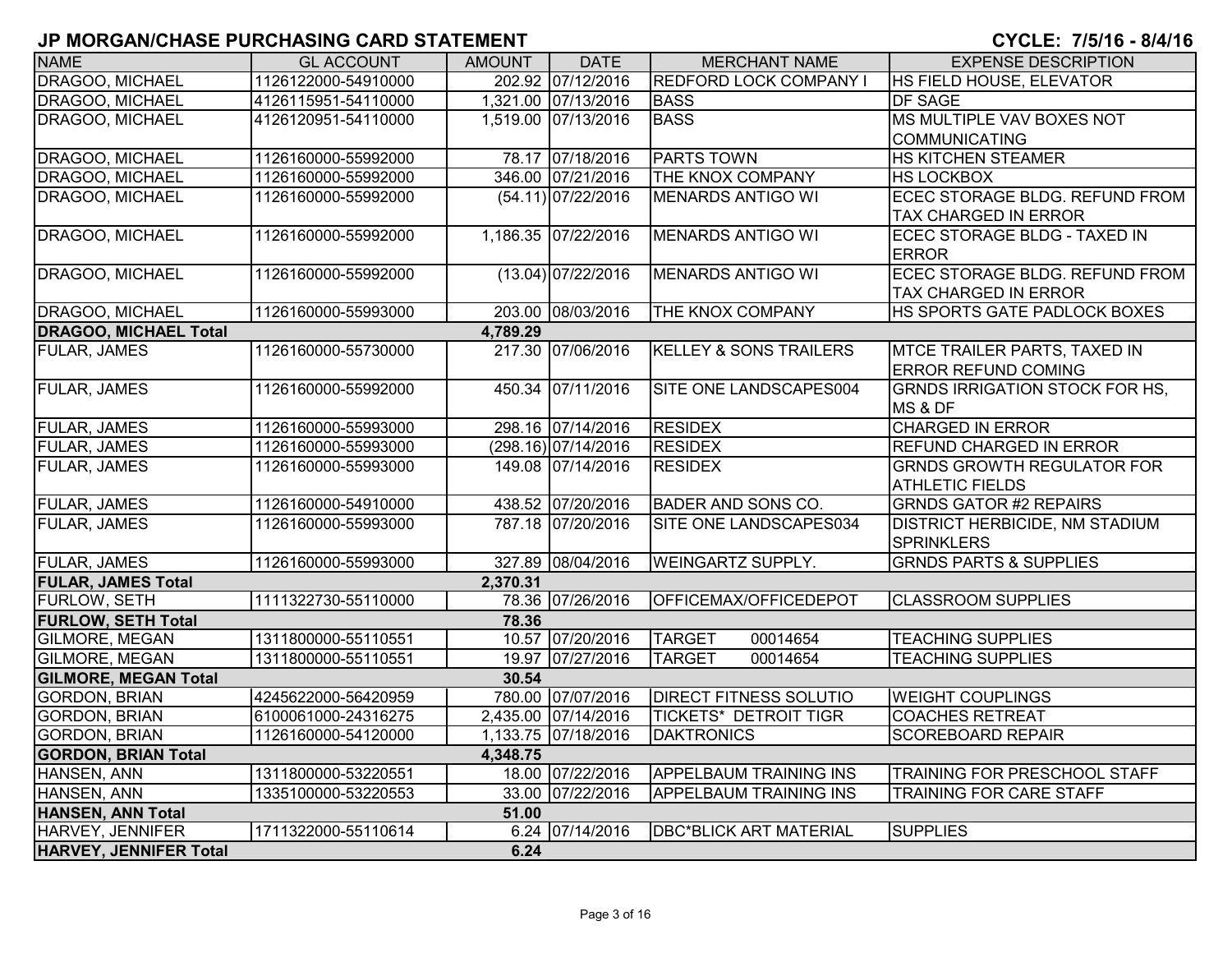| <b>NAME</b>                                  | <b>GL ACCOUNT</b>   | <b>AMOUNT</b> | <b>DATE</b>          | <b>MERCHANT NAME</b>                                   | <b>EXPENSE DESCRIPTION</b>            |
|----------------------------------------------|---------------------|---------------|----------------------|--------------------------------------------------------|---------------------------------------|
| DRAGOO, MICHAEL                              | 1126122000-54910000 |               | 202.92 07/12/2016    | <b>REDFORD LOCK COMPANY I</b>                          | HS FIELD HOUSE, ELEVATOR              |
| DRAGOO, MICHAEL                              | 4126115951-54110000 |               | 1,321.00 07/13/2016  | <b>BASS</b>                                            | <b>DF SAGE</b>                        |
| DRAGOO, MICHAEL                              | 4126120951-54110000 |               | 1,519.00 07/13/2016  | <b>BASS</b>                                            | MS MULTIPLE VAV BOXES NOT             |
|                                              |                     |               |                      |                                                        | <b>COMMUNICATING</b>                  |
| DRAGOO, MICHAEL                              | 1126160000-55992000 |               | 78.17 07/18/2016     | <b>PARTS TOWN</b>                                      | <b>HS KITCHEN STEAMER</b>             |
| DRAGOO, MICHAEL                              | 1126160000-55992000 |               | 346.00 07/21/2016    | THE KNOX COMPANY                                       | <b>HS LOCKBOX</b>                     |
| DRAGOO, MICHAEL                              | 1126160000-55992000 |               | (54.11) 07/22/2016   | <b>MENARDS ANTIGO WI</b>                               | ECEC STORAGE BLDG. REFUND FROM        |
|                                              |                     |               |                      |                                                        | <b>TAX CHARGED IN ERROR</b>           |
| DRAGOO, MICHAEL                              | 1126160000-55992000 |               | 1,186.35 07/22/2016  | MENARDS ANTIGO WI                                      | ECEC STORAGE BLDG - TAXED IN          |
|                                              |                     |               |                      |                                                        | <b>ERROR</b>                          |
| DRAGOO, MICHAEL                              | 1126160000-55992000 |               | $(13.04)$ 07/22/2016 | <b>MENARDS ANTIGO WI</b>                               | ECEC STORAGE BLDG. REFUND FROM        |
|                                              |                     |               |                      |                                                        | <b>TAX CHARGED IN ERROR</b>           |
| DRAGOO, MICHAEL                              | 1126160000-55993000 |               | 203.00 08/03/2016    | THE KNOX COMPANY                                       | HS SPORTS GATE PADLOCK BOXES          |
| <b>DRAGOO, MICHAEL Total</b>                 |                     | 4,789.29      |                      |                                                        |                                       |
| <b>FULAR, JAMES</b>                          | 1126160000-55730000 |               | 217.30 07/06/2016    | KELLEY & SONS TRAILERS                                 | MTCE TRAILER PARTS, TAXED IN          |
|                                              |                     |               |                      |                                                        | <b>ERROR REFUND COMING</b>            |
| <b>FULAR, JAMES</b>                          | 1126160000-55992000 |               | 450.34 07/11/2016    | SITE ONE LANDSCAPES004                                 | <b>GRNDS IRRIGATION STOCK FOR HS.</b> |
|                                              |                     |               |                      |                                                        | MS & DF                               |
| <b>FULAR, JAMES</b>                          | 1126160000-55993000 |               | 298.16 07/14/2016    | <b>RESIDEX</b>                                         | <b>CHARGED IN ERROR</b>               |
| <b>FULAR, JAMES</b>                          | 1126160000-55993000 |               | (298.16) 07/14/2016  | <b>RESIDEX</b>                                         | <b>REFUND CHARGED IN ERROR</b>        |
| <b>FULAR, JAMES</b>                          | 1126160000-55993000 |               | 149.08 07/14/2016    | <b>RESIDEX</b>                                         | <b>GRNDS GROWTH REGULATOR FOR</b>     |
|                                              |                     |               |                      |                                                        | <b>ATHLETIC FIELDS</b>                |
| <b>FULAR, JAMES</b>                          | 1126160000-54910000 |               | 438.52 07/20/2016    | <b>BADER AND SONS CO.</b>                              | <b>GRNDS GATOR #2 REPAIRS</b>         |
| <b>FULAR, JAMES</b>                          | 1126160000-55993000 |               | 787.18 07/20/2016    | SITE ONE LANDSCAPES034                                 | <b>DISTRICT HERBICIDE, NM STADIUM</b> |
|                                              |                     |               |                      |                                                        | <b>SPRINKLERS</b>                     |
| <b>FULAR, JAMES</b>                          | 1126160000-55993000 |               | 327.89 08/04/2016    | <b>WEINGARTZ SUPPLY.</b>                               | <b>GRNDS PARTS &amp; SUPPLIES</b>     |
| <b>FULAR, JAMES Total</b>                    |                     | 2,370.31      |                      |                                                        |                                       |
| <b>FURLOW, SETH</b>                          | 1111322730-55110000 |               | 78.36 07/26/2016     | OFFICEMAX/OFFICEDEPOT                                  | <b>CLASSROOM SUPPLIES</b>             |
| <b>FURLOW, SETH Total</b>                    |                     | 78.36         |                      |                                                        |                                       |
| <b>GILMORE, MEGAN</b>                        | 1311800000-55110551 |               | 10.57 07/20/2016     | <b>TARGET</b><br>00014654<br><b>TARGET</b><br>00014654 | <b>TEACHING SUPPLIES</b>              |
| GILMORE, MEGAN                               | 1311800000-55110551 |               | 19.97 07/27/2016     |                                                        | <b>TEACHING SUPPLIES</b>              |
| <b>GILMORE, MEGAN Total</b>                  |                     | 30.54         | 780.00 07/07/2016    |                                                        |                                       |
| <b>GORDON, BRIAN</b>                         | 4245622000-56420959 |               | 2,435.00 07/14/2016  | <b>DIRECT FITNESS SOLUTIO</b>                          | <b>WEIGHT COUPLINGS</b>               |
| <b>GORDON, BRIAN</b>                         | 6100061000-24316275 |               |                      | <b>TICKETS* DETROIT TIGR</b>                           | <b>COACHES RETREAT</b>                |
| <b>GORDON, BRIAN</b>                         | 1126160000-54120000 |               | 1,133.75 07/18/2016  | <b>DAKTRONICS</b>                                      | <b>SCOREBOARD REPAIR</b>              |
| <b>GORDON, BRIAN Total</b>                   | 1311800000-53220551 | 4,348.75      | 18.00 07/22/2016     | <b>APPELBAUM TRAINING INS</b>                          | <b>TRAINING FOR PRESCHOOL STAFF</b>   |
| HANSEN, ANN                                  | 1335100000-53220553 |               | 33.00 07/22/2016     | <b>APPELBAUM TRAINING INS</b>                          | <b>TRAINING FOR CARE STAFF</b>        |
| HANSEN, ANN                                  |                     |               |                      |                                                        |                                       |
| <b>HANSEN, ANN Total</b><br>HARVEY, JENNIFER |                     | 51.00         | 6.24 07/14/2016      | <b>DBC*BLICK ART MATERIAL</b>                          | <b>SUPPLIES</b>                       |
|                                              | 1711322000-55110614 | 6.24          |                      |                                                        |                                       |
| <b>HARVEY, JENNIFER Total</b>                |                     |               |                      |                                                        |                                       |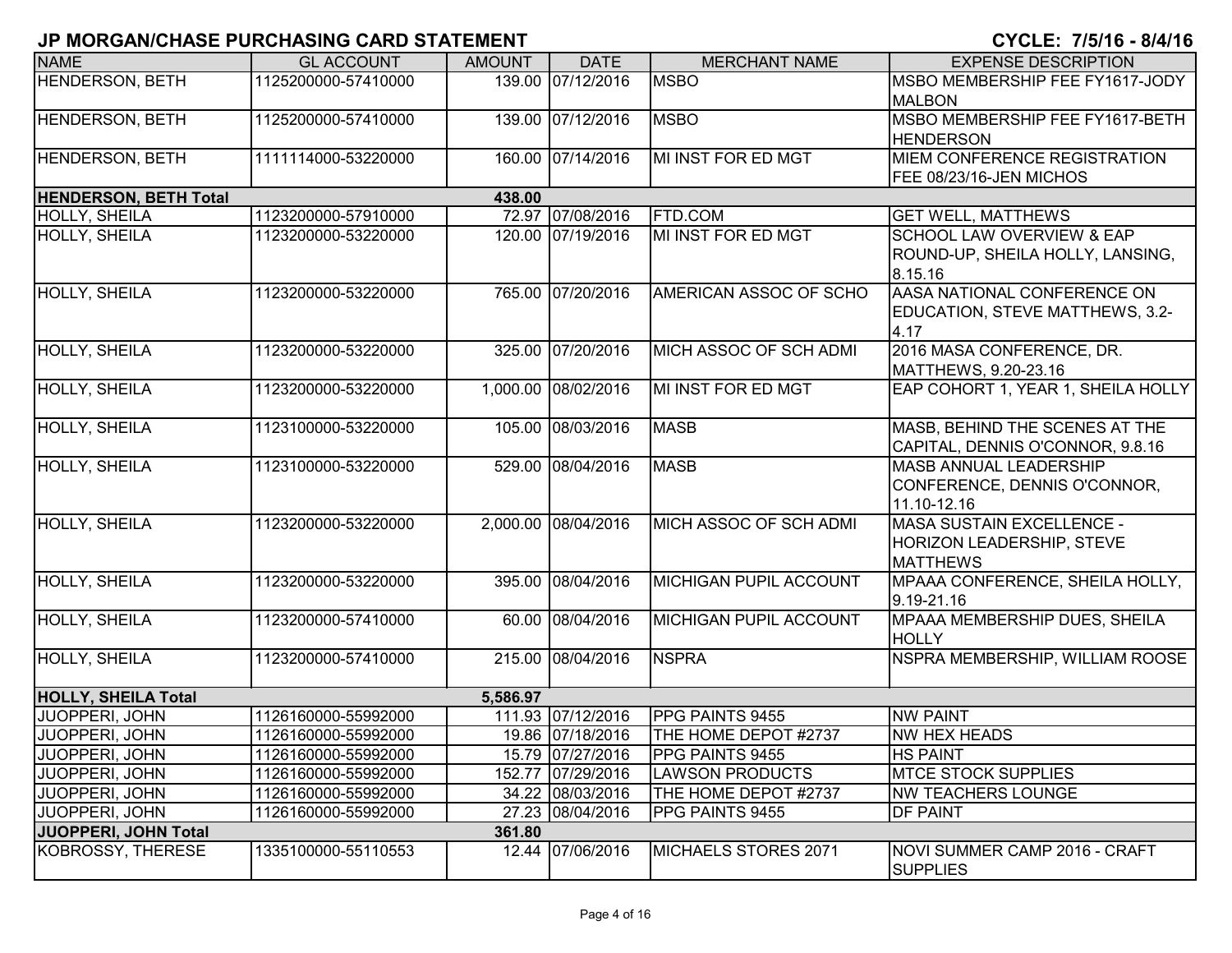| <b>NAME</b>                  | <b>GL ACCOUNT</b>   | <b>AMOUNT</b> | <b>DATE</b>         | <b>MERCHANT NAME</b>          | <b>EXPENSE DESCRIPTION</b>         |
|------------------------------|---------------------|---------------|---------------------|-------------------------------|------------------------------------|
| <b>HENDERSON, BETH</b>       |                     |               |                     |                               |                                    |
|                              | 1125200000-57410000 |               | 139.00 07/12/2016   | <b>MSBO</b>                   | MSBO MEMBERSHIP FEE FY1617-JODY    |
|                              |                     |               |                     |                               | <b>MALBON</b>                      |
| <b>HENDERSON, BETH</b>       | 1125200000-57410000 |               | 139.00 07/12/2016   | <b>MSBO</b>                   | MSBO MEMBERSHIP FEE FY1617-BETH    |
|                              |                     |               |                     |                               | <b>HENDERSON</b>                   |
| <b>HENDERSON, BETH</b>       | 1111114000-53220000 |               | 160.00 07/14/2016   | MI INST FOR ED MGT            | MIEM CONFERENCE REGISTRATION       |
|                              |                     |               |                     |                               | FEE 08/23/16-JEN MICHOS            |
| <b>HENDERSON, BETH Total</b> |                     | 438.00        |                     |                               |                                    |
| HOLLY, SHEILA                | 1123200000-57910000 |               | 72.97 07/08/2016    | <b>FTD.COM</b>                | <b>GET WELL, MATTHEWS</b>          |
| <b>HOLLY, SHEILA</b>         | 1123200000-53220000 |               | 120.00 07/19/2016   | MI INST FOR ED MGT            | SCHOOL LAW OVERVIEW & EAP          |
|                              |                     |               |                     |                               | ROUND-UP, SHEILA HOLLY, LANSING,   |
|                              |                     |               |                     |                               | 8.15.16                            |
| <b>HOLLY, SHEILA</b>         | 1123200000-53220000 |               | 765.00 07/20/2016   | AMERICAN ASSOC OF SCHO        | AASA NATIONAL CONFERENCE ON        |
|                              |                     |               |                     |                               | EDUCATION, STEVE MATTHEWS, 3.2-    |
|                              |                     |               |                     |                               | 4.17                               |
| HOLLY, SHEILA                | 1123200000-53220000 |               | 325.00 07/20/2016   | MICH ASSOC OF SCH ADMI        | 2016 MASA CONFERENCE, DR.          |
|                              |                     |               |                     |                               | MATTHEWS, 9.20-23.16               |
| <b>HOLLY, SHEILA</b>         | 1123200000-53220000 |               | 1,000.00 08/02/2016 | MI INST FOR ED MGT            | EAP COHORT 1, YEAR 1, SHEILA HOLLY |
|                              |                     |               |                     |                               |                                    |
| <b>HOLLY, SHEILA</b>         | 1123100000-53220000 |               | 105.00 08/03/2016   | <b>MASB</b>                   | MASB, BEHIND THE SCENES AT THE     |
|                              |                     |               |                     |                               | CAPITAL, DENNIS O'CONNOR, 9.8.16   |
| <b>HOLLY, SHEILA</b>         | 1123100000-53220000 |               | 529.00 08/04/2016   | <b>MASB</b>                   | <b>MASB ANNUAL LEADERSHIP</b>      |
|                              |                     |               |                     |                               | CONFERENCE, DENNIS O'CONNOR,       |
|                              |                     |               |                     |                               | 11.10-12.16                        |
| <b>HOLLY, SHEILA</b>         | 1123200000-53220000 |               | 2,000.00 08/04/2016 | MICH ASSOC OF SCH ADMI        | MASA SUSTAIN EXCELLENCE -          |
|                              |                     |               |                     |                               | HORIZON LEADERSHIP, STEVE          |
|                              |                     |               |                     |                               | <b>MATTHEWS</b>                    |
| HOLLY, SHEILA                | 1123200000-53220000 |               | 395.00 08/04/2016   | <b>MICHIGAN PUPIL ACCOUNT</b> | MPAAA CONFERENCE, SHEILA HOLLY,    |
|                              |                     |               |                     |                               | 9.19-21.16                         |
| <b>HOLLY, SHEILA</b>         | 1123200000-57410000 |               | 60.00 08/04/2016    | <b>MICHIGAN PUPIL ACCOUNT</b> | MPAAA MEMBERSHIP DUES, SHEILA      |
|                              |                     |               |                     |                               |                                    |
|                              |                     |               |                     | <b>NSPRA</b>                  | <b>HOLLY</b>                       |
| HOLLY, SHEILA                | 1123200000-57410000 |               | 215.00 08/04/2016   |                               | NSPRA MEMBERSHIP, WILLIAM ROOSE    |
| <b>HOLLY, SHEILA Total</b>   |                     | 5,586.97      |                     |                               |                                    |
| JUOPPERI, JOHN               | 1126160000-55992000 |               | 111.93 07/12/2016   | PPG PAINTS 9455               | <b>NW PAINT</b>                    |
| JUOPPERI, JOHN               | 1126160000-55992000 |               | 19.86 07/18/2016    | THE HOME DEPOT #2737          | <b>NW HEX HEADS</b>                |
| JUOPPERI, JOHN               | 1126160000-55992000 |               | 15.79 07/27/2016    | <b>PPG PAINTS 9455</b>        | <b>HS PAINT</b>                    |
| JUOPPERI, JOHN               | 1126160000-55992000 |               | 152.77 07/29/2016   | <b>LAWSON PRODUCTS</b>        | <b>MTCE STOCK SUPPLIES</b>         |
| JUOPPERI, JOHN               | 1126160000-55992000 |               | 34.22 08/03/2016    | THE HOME DEPOT #2737          | <b>NW TEACHERS LOUNGE</b>          |
| JUOPPERI, JOHN               | 1126160000-55992000 |               | 27.23 08/04/2016    | PPG PAINTS 9455               | DF PAINT                           |
| <b>JUOPPERI, JOHN Total</b>  |                     | 361.80        |                     |                               |                                    |
| KOBROSSY, THERESE            | 1335100000-55110553 |               | 12.44 07/06/2016    | MICHAELS STORES 2071          | NOVI SUMMER CAMP 2016 - CRAFT      |
|                              |                     |               |                     |                               | <b>SUPPLIES</b>                    |
|                              |                     |               |                     |                               |                                    |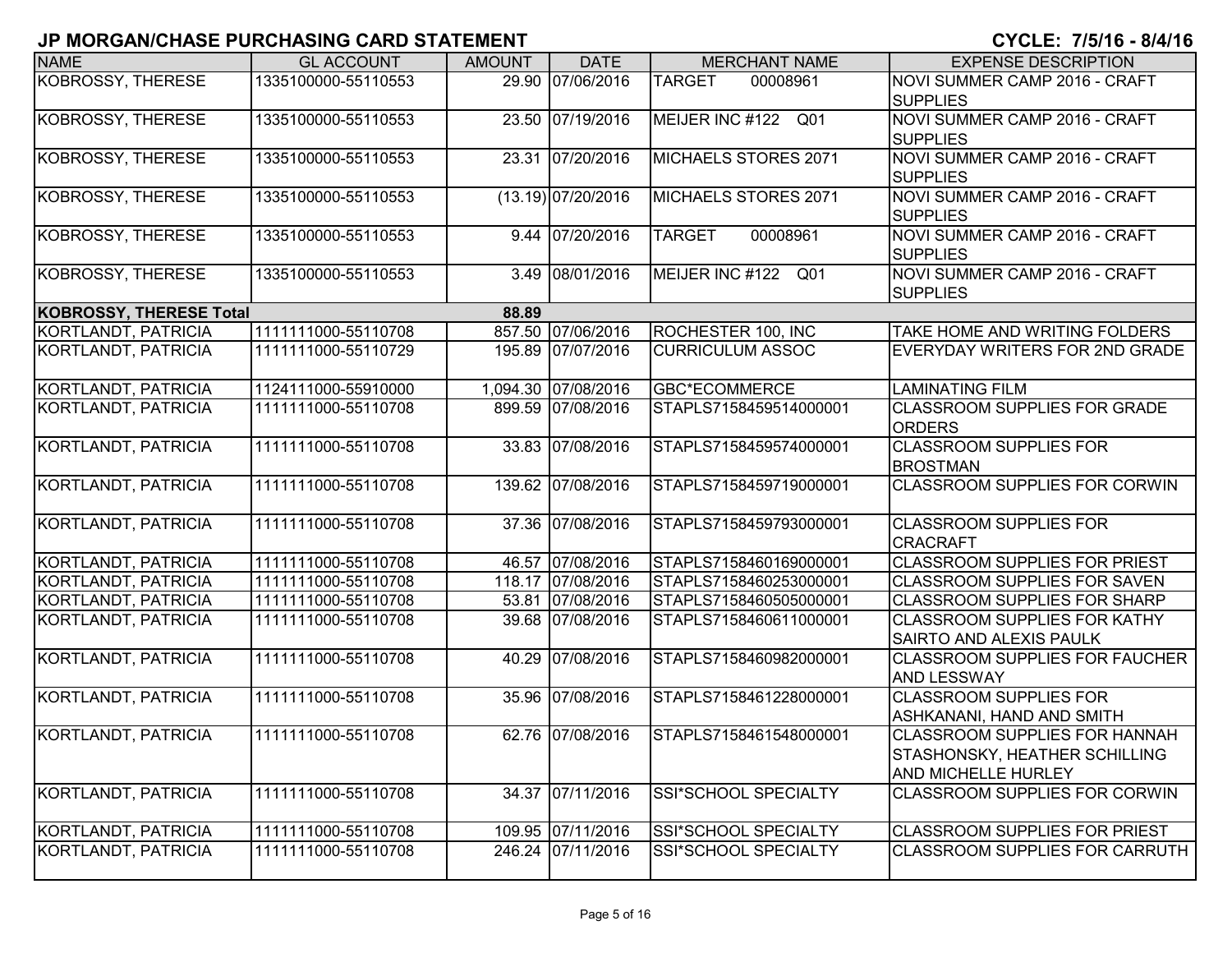| <b>NAME</b>                    | <b>GL ACCOUNT</b>   | <b>AMOUNT</b> | <b>DATE</b>          | <b>MERCHANT NAME</b>      | <b>EXPENSE DESCRIPTION</b>                                                                   |
|--------------------------------|---------------------|---------------|----------------------|---------------------------|----------------------------------------------------------------------------------------------|
| <b>KOBROSSY, THERESE</b>       | 1335100000-55110553 |               | 29.90 07/06/2016     | <b>TARGET</b><br>00008961 | NOVI SUMMER CAMP 2016 - CRAFT<br><b>SUPPLIES</b>                                             |
| <b>KOBROSSY, THERESE</b>       | 1335100000-55110553 |               | 23.50 07/19/2016     | MEIJER INC #122 Q01       | NOVI SUMMER CAMP 2016 - CRAFT<br><b>SUPPLIES</b>                                             |
| <b>KOBROSSY, THERESE</b>       | 1335100000-55110553 |               | 23.31 07/20/2016     | MICHAELS STORES 2071      | NOVI SUMMER CAMP 2016 - CRAFT<br><b>SUPPLIES</b>                                             |
| KOBROSSY, THERESE              | 1335100000-55110553 |               | $(13.19)$ 07/20/2016 | MICHAELS STORES 2071      | NOVI SUMMER CAMP 2016 - CRAFT<br><b>SUPPLIES</b>                                             |
| <b>KOBROSSY, THERESE</b>       | 1335100000-55110553 |               | 9.44 07/20/2016      | 00008961<br><b>TARGET</b> | NOVI SUMMER CAMP 2016 - CRAFT<br><b>SUPPLIES</b>                                             |
| KOBROSSY, THERESE              | 1335100000-55110553 | 3.49          | 08/01/2016           | MEIJER INC #122 Q01       | NOVI SUMMER CAMP 2016 - CRAFT<br><b>SUPPLIES</b>                                             |
| <b>KOBROSSY, THERESE Total</b> |                     | 88.89         |                      |                           |                                                                                              |
| KORTLANDT, PATRICIA            | 1111111000-55110708 |               | 857.50 07/06/2016    | ROCHESTER 100, INC        | TAKE HOME AND WRITING FOLDERS                                                                |
| KORTLANDT, PATRICIA            | 1111111000-55110729 |               | 195.89 07/07/2016    | <b>CURRICULUM ASSOC</b>   | EVERYDAY WRITERS FOR 2ND GRADE                                                               |
| <b>KORTLANDT, PATRICIA</b>     | 1124111000-55910000 |               | 1,094.30 07/08/2016  | <b>GBC*ECOMMERCE</b>      | <b>LAMINATING FILM</b>                                                                       |
| KORTLANDT, PATRICIA            | 1111111000-55110708 |               | 899.59 07/08/2016    | STAPLS7158459514000001    | <b>ICLASSROOM SUPPLIES FOR GRADE</b><br><b>ORDERS</b>                                        |
| <b>KORTLANDT, PATRICIA</b>     | 1111111000-55110708 |               | 33.83 07/08/2016     | STAPLS7158459574000001    | <b>CLASSROOM SUPPLIES FOR</b><br>BROSTMAN                                                    |
| KORTLANDT, PATRICIA            | 1111111000-55110708 |               | 139.62 07/08/2016    | STAPLS7158459719000001    | <b>CLASSROOM SUPPLIES FOR CORWIN</b>                                                         |
| <b>KORTLANDT, PATRICIA</b>     | 1111111000-55110708 |               | 37.36 07/08/2016     | STAPLS7158459793000001    | <b>CLASSROOM SUPPLIES FOR</b><br><b>CRACRAFT</b>                                             |
| KORTLANDT, PATRICIA            | 1111111000-55110708 |               | 46.57 07/08/2016     | STAPLS7158460169000001    | <b>CLASSROOM SUPPLIES FOR PRIEST</b>                                                         |
| KORTLANDT, PATRICIA            | 1111111000-55110708 |               | 118.17 07/08/2016    | STAPLS7158460253000001    | <b>CLASSROOM SUPPLIES FOR SAVEN</b>                                                          |
| KORTLANDT, PATRICIA            | 1111111000-55110708 |               | 53.81 07/08/2016     | STAPLS7158460505000001    | <b>CLASSROOM SUPPLIES FOR SHARP</b>                                                          |
| KORTLANDT, PATRICIA            | 1111111000-55110708 |               | 39.68 07/08/2016     | STAPLS7158460611000001    | <b>CLASSROOM SUPPLIES FOR KATHY</b><br><b>SAIRTO AND ALEXIS PAULK</b>                        |
| KORTLANDT, PATRICIA            | 1111111000-55110708 |               | 40.29 07/08/2016     | STAPLS7158460982000001    | <b>CLASSROOM SUPPLIES FOR FAUCHER</b><br><b>AND LESSWAY</b>                                  |
| KORTLANDT, PATRICIA            | 1111111000-55110708 |               | 35.96 07/08/2016     | STAPLS7158461228000001    | <b>CLASSROOM SUPPLIES FOR</b><br>ASHKANANI, HAND AND SMITH                                   |
| KORTLANDT, PATRICIA            | 1111111000-55110708 |               | 62.76 07/08/2016     | STAPLS7158461548000001    | <b>CLASSROOM SUPPLIES FOR HANNAH</b><br>STASHONSKY, HEATHER SCHILLING<br>AND MICHELLE HURLEY |
| KORTLANDT, PATRICIA            | 1111111000-55110708 |               | 34.37 07/11/2016     | SSI*SCHOOL SPECIALTY      | <b>CLASSROOM SUPPLIES FOR CORWIN</b>                                                         |
| KORTLANDT, PATRICIA            | 1111111000-55110708 |               | 109.95 07/11/2016    | SSI*SCHOOL SPECIALTY      | <b>CLASSROOM SUPPLIES FOR PRIEST</b>                                                         |
| KORTLANDT, PATRICIA            | 1111111000-55110708 |               | 246.24 07/11/2016    | SSI*SCHOOL SPECIALTY      | <b>CLASSROOM SUPPLIES FOR CARRUTH</b>                                                        |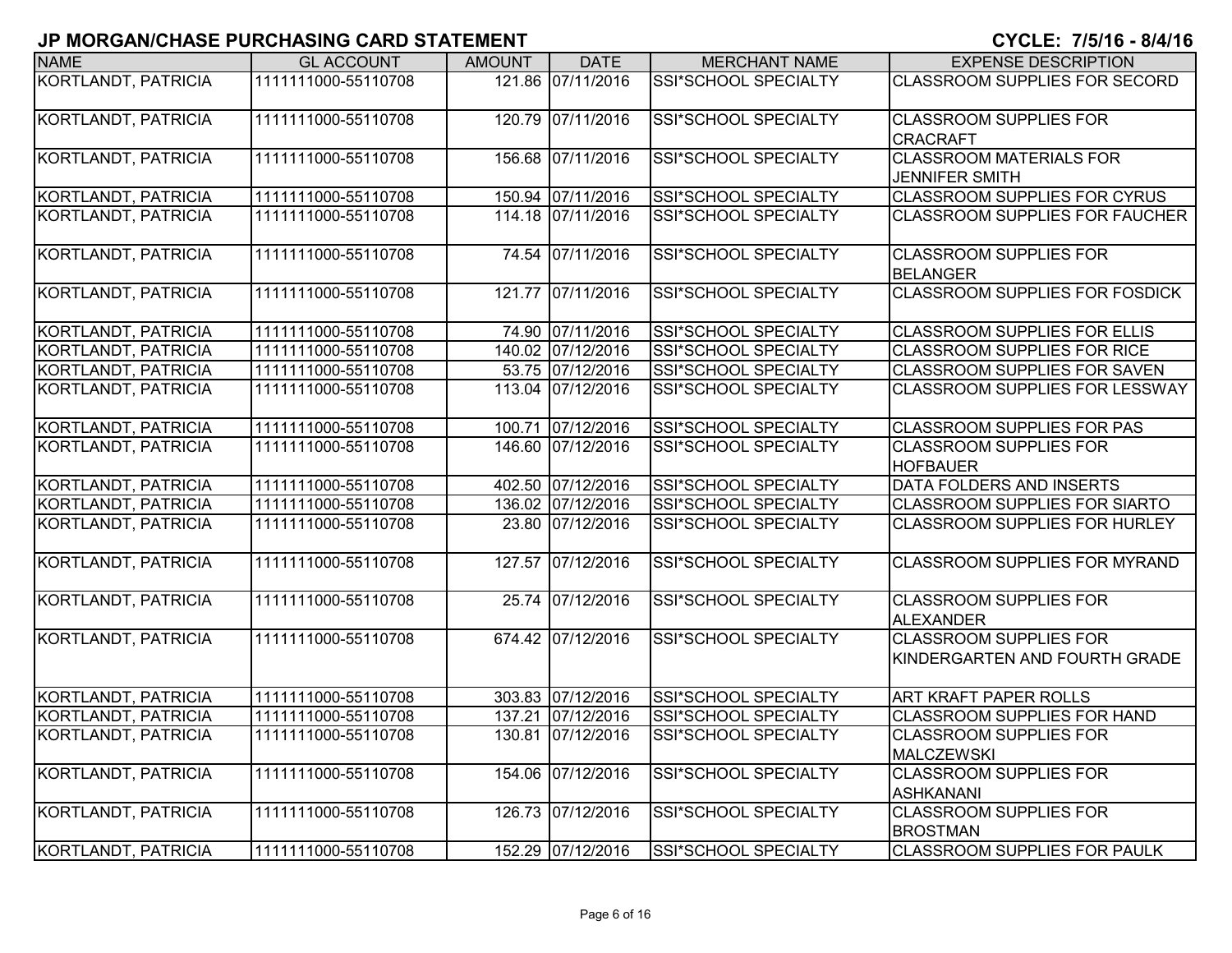| <b>NAME</b>                | <b>GL ACCOUNT</b>   | <b>AMOUNT</b> | <b>DATE</b>       | <b>MERCHANT NAME</b>        | <b>EXPENSE DESCRIPTION</b>                                     |
|----------------------------|---------------------|---------------|-------------------|-----------------------------|----------------------------------------------------------------|
| <b>KORTLANDT, PATRICIA</b> | 1111111000-55110708 |               | 121.86 07/11/2016 | SSI*SCHOOL SPECIALTY        | <b>CLASSROOM SUPPLIES FOR SECORD</b>                           |
| KORTLANDT, PATRICIA        | 1111111000-55110708 |               | 120.79 07/11/2016 | <b>SSI*SCHOOL SPECIALTY</b> | <b>CLASSROOM SUPPLIES FOR</b><br><b>CRACRAFT</b>               |
| KORTLANDT, PATRICIA        | 1111111000-55110708 |               | 156.68 07/11/2016 | SSI*SCHOOL SPECIALTY        | <b>CLASSROOM MATERIALS FOR</b><br><b>JENNIFER SMITH</b>        |
| KORTLANDT, PATRICIA        | 1111111000-55110708 |               | 150.94 07/11/2016 | SSI*SCHOOL SPECIALTY        | <b>CLASSROOM SUPPLIES FOR CYRUS</b>                            |
| KORTLANDT, PATRICIA        | 1111111000-55110708 |               | 114.18 07/11/2016 | SSI*SCHOOL SPECIALTY        | <b>CLASSROOM SUPPLIES FOR FAUCHER</b>                          |
| KORTLANDT, PATRICIA        | 1111111000-55110708 |               | 74.54 07/11/2016  | SSI*SCHOOL SPECIALTY        | <b>CLASSROOM SUPPLIES FOR</b><br><b>BELANGER</b>               |
| KORTLANDT, PATRICIA        | 1111111000-55110708 | 121.77        | 07/11/2016        | SSI*SCHOOL SPECIALTY        | <b>CLASSROOM SUPPLIES FOR FOSDICK</b>                          |
| KORTLANDT, PATRICIA        | 1111111000-55110708 |               | 74.90 07/11/2016  | SSI*SCHOOL SPECIALTY        | <b>CLASSROOM SUPPLIES FOR ELLIS</b>                            |
| KORTLANDT, PATRICIA        | 1111111000-55110708 |               | 140.02 07/12/2016 | <b>SSI*SCHOOL SPECIALTY</b> | <b>CLASSROOM SUPPLIES FOR RICE</b>                             |
| KORTLANDT, PATRICIA        | 1111111000-55110708 |               | 53.75 07/12/2016  | SSI*SCHOOL SPECIALTY        | <b>CLASSROOM SUPPLIES FOR SAVEN</b>                            |
| KORTLANDT, PATRICIA        | 1111111000-55110708 |               | 113.04 07/12/2016 | <b>SSI*SCHOOL SPECIALTY</b> | <b>CLASSROOM SUPPLIES FOR LESSWAY</b>                          |
| <b>KORTLANDT, PATRICIA</b> | 1111111000-55110708 |               | 100.71 07/12/2016 | SSI*SCHOOL SPECIALTY        | <b>CLASSROOM SUPPLIES FOR PAS</b>                              |
| KORTLANDT, PATRICIA        | 1111111000-55110708 |               | 146.60 07/12/2016 | SSI*SCHOOL SPECIALTY        | <b>CLASSROOM SUPPLIES FOR</b><br><b>HOFBAUER</b>               |
| <b>KORTLANDT, PATRICIA</b> | 1111111000-55110708 |               | 402.50 07/12/2016 | <b>SSI*SCHOOL SPECIALTY</b> | DATA FOLDERS AND INSERTS                                       |
| KORTLANDT, PATRICIA        | 1111111000-55110708 |               | 136.02 07/12/2016 | SSI*SCHOOL SPECIALTY        | <b>CLASSROOM SUPPLIES FOR SIARTO</b>                           |
| KORTLANDT, PATRICIA        | 1111111000-55110708 |               | 23.80 07/12/2016  | <b>SSI*SCHOOL SPECIALTY</b> | <b>CLASSROOM SUPPLIES FOR HURLEY</b>                           |
| <b>KORTLANDT, PATRICIA</b> | 1111111000-55110708 |               | 127.57 07/12/2016 | <b>SSI*SCHOOL SPECIALTY</b> | <b>CLASSROOM SUPPLIES FOR MYRAND</b>                           |
| <b>KORTLANDT, PATRICIA</b> | 1111111000-55110708 |               | 25.74 07/12/2016  | <b>SSI*SCHOOL SPECIALTY</b> | <b>CLASSROOM SUPPLIES FOR</b><br><b>ALEXANDER</b>              |
| <b>KORTLANDT, PATRICIA</b> | 1111111000-55110708 |               | 674.42 07/12/2016 | <b>SSI*SCHOOL SPECIALTY</b> | <b>CLASSROOM SUPPLIES FOR</b><br>KINDERGARTEN AND FOURTH GRADE |
| KORTLANDT, PATRICIA        | 1111111000-55110708 |               | 303.83 07/12/2016 | SSI*SCHOOL SPECIALTY        | <b>ART KRAFT PAPER ROLLS</b>                                   |
| KORTLANDT, PATRICIA        | 1111111000-55110708 |               | 137.21 07/12/2016 | SSI*SCHOOL SPECIALTY        | <b>CLASSROOM SUPPLIES FOR HAND</b>                             |
| KORTLANDT, PATRICIA        | 1111111000-55110708 |               | 130.81 07/12/2016 | SSI*SCHOOL SPECIALTY        | <b>CLASSROOM SUPPLIES FOR</b><br><b>MALCZEWSKI</b>             |
| KORTLANDT, PATRICIA        | 1111111000-55110708 |               | 154.06 07/12/2016 | <b>SSI*SCHOOL SPECIALTY</b> | <b>CLASSROOM SUPPLIES FOR</b><br><b>ASHKANANI</b>              |
| KORTLANDT, PATRICIA        | 1111111000-55110708 |               | 126.73 07/12/2016 | <b>SSI*SCHOOL SPECIALTY</b> | <b>CLASSROOM SUPPLIES FOR</b><br><b>BROSTMAN</b>               |
| KORTLANDT, PATRICIA        | 1111111000-55110708 |               | 152.29 07/12/2016 | SSI*SCHOOL SPECIALTY        | <b>CLASSROOM SUPPLIES FOR PAULK</b>                            |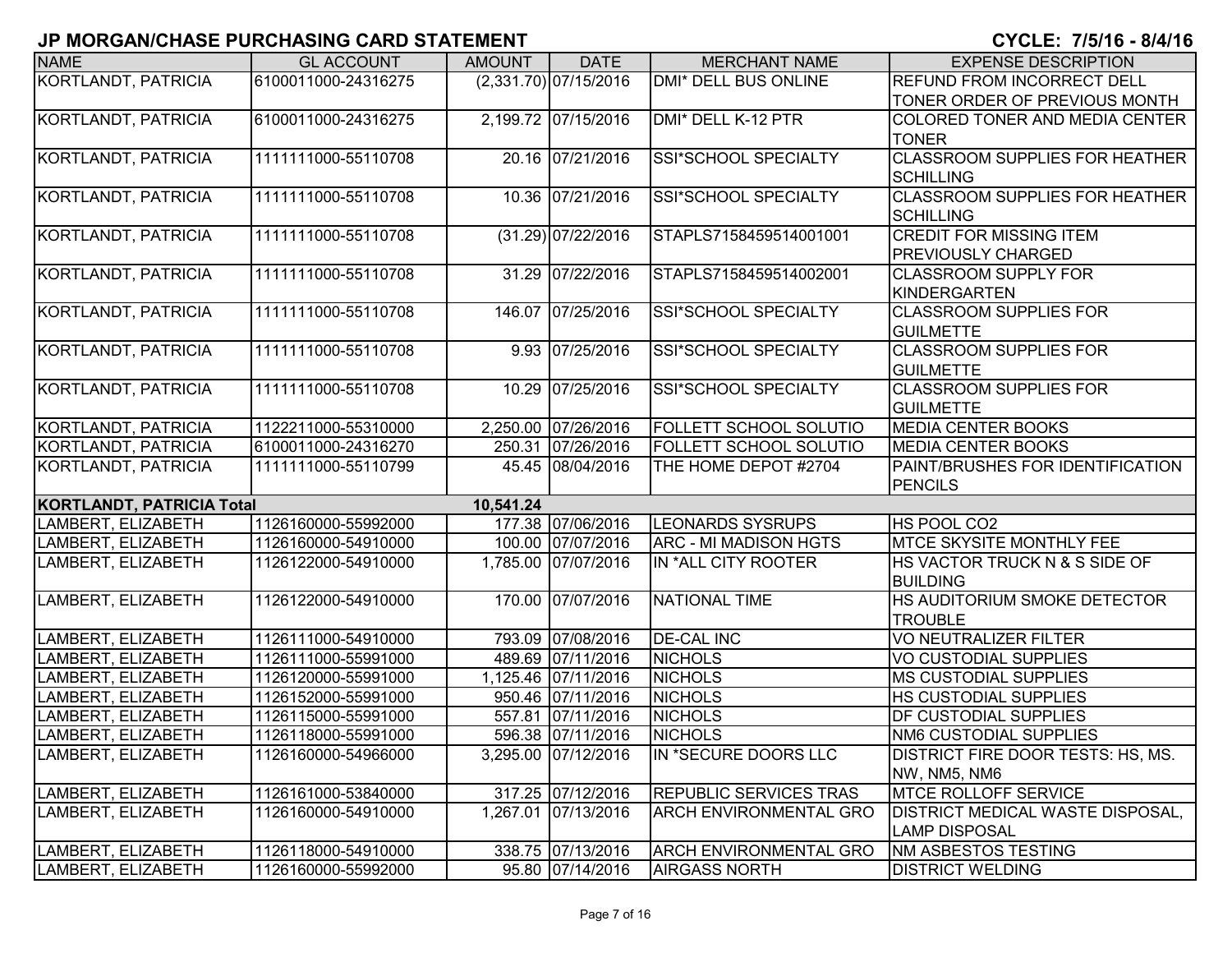| <b>NAME</b>                      | <b>GL ACCOUNT</b>   | <b>AMOUNT</b> | <b>DATE</b>             | <b>MERCHANT NAME</b>          | <b>EXPENSE DESCRIPTION</b>              |
|----------------------------------|---------------------|---------------|-------------------------|-------------------------------|-----------------------------------------|
| KORTLANDT, PATRICIA              | 6100011000-24316275 |               | $(2,331.70)$ 07/15/2016 | <b>DMI* DELL BUS ONLINE</b>   | REFUND FROM INCORRECT DELL              |
|                                  |                     |               |                         |                               | TONER ORDER OF PREVIOUS MONTH           |
| KORTLANDT, PATRICIA              | 6100011000-24316275 |               | 2,199.72 07/15/2016     | DMI* DELL K-12 PTR            | COLORED TONER AND MEDIA CENTER          |
|                                  |                     |               |                         |                               | <b>TONER</b>                            |
| KORTLANDT, PATRICIA              | 1111111000-55110708 |               | 20.16 07/21/2016        | <b>SSI*SCHOOL SPECIALTY</b>   | <b>CLASSROOM SUPPLIES FOR HEATHER</b>   |
|                                  |                     |               |                         |                               | <b>SCHILLING</b>                        |
| KORTLANDT, PATRICIA              | 1111111000-55110708 |               | 10.36 07/21/2016        | SSI*SCHOOL SPECIALTY          | <b>CLASSROOM SUPPLIES FOR HEATHER</b>   |
|                                  |                     |               |                         |                               | <b>SCHILLING</b>                        |
| KORTLANDT, PATRICIA              | 1111111000-55110708 |               | $(31.29)$ 07/22/2016    | STAPLS7158459514001001        | <b>CREDIT FOR MISSING ITEM</b>          |
|                                  |                     |               |                         |                               | PREVIOUSLY CHARGED                      |
| KORTLANDT, PATRICIA              | 1111111000-55110708 |               | 31.29 07/22/2016        | STAPLS7158459514002001        | <b>CLASSROOM SUPPLY FOR</b>             |
|                                  |                     |               |                         |                               | <b>KINDERGARTEN</b>                     |
| KORTLANDT, PATRICIA              | 1111111000-55110708 |               | 146.07 07/25/2016       | SSI*SCHOOL SPECIALTY          | <b>CLASSROOM SUPPLIES FOR</b>           |
|                                  |                     |               |                         |                               | <b>GUILMETTE</b>                        |
| KORTLANDT, PATRICIA              | 1111111000-55110708 |               | 9.93 07/25/2016         | SSI*SCHOOL SPECIALTY          | <b>CLASSROOM SUPPLIES FOR</b>           |
|                                  |                     |               |                         |                               | <b>GUILMETTE</b>                        |
| KORTLANDT, PATRICIA              | 1111111000-55110708 |               | 10.29 07/25/2016        | SSI*SCHOOL SPECIALTY          | <b>CLASSROOM SUPPLIES FOR</b>           |
|                                  |                     |               |                         |                               | <b>GUILMETTE</b>                        |
| <b>KORTLANDT, PATRICIA</b>       | 1122211000-55310000 |               | 2,250.00 07/26/2016     | <b>FOLLETT SCHOOL SOLUTIO</b> | <b>MEDIA CENTER BOOKS</b>               |
| KORTLANDT, PATRICIA              | 6100011000-24316270 |               | 250.31 07/26/2016       | <b>FOLLETT SCHOOL SOLUTIO</b> | <b>MEDIA CENTER BOOKS</b>               |
| KORTLANDT, PATRICIA              | 1111111000-55110799 |               | 45.45 08/04/2016        | THE HOME DEPOT #2704          | PAINT/BRUSHES FOR IDENTIFICATION        |
|                                  |                     |               |                         |                               | <b>PENCILS</b>                          |
| <b>KORTLANDT, PATRICIA Total</b> |                     | 10,541.24     |                         |                               |                                         |
| LAMBERT, ELIZABETH               | 1126160000-55992000 |               | 177.38 07/06/2016       | <b>LEONARDS SYSRUPS</b>       | HS POOL CO2                             |
| LAMBERT, ELIZABETH               | 1126160000-54910000 |               | 100.00 07/07/2016       | <b>ARC - MI MADISON HGTS</b>  | <b>MTCE SKYSITE MONTHLY FEE</b>         |
| LAMBERT, ELIZABETH               | 1126122000-54910000 |               | 1,785.00 07/07/2016     | IN *ALL CITY ROOTER           | HS VACTOR TRUCK N & S SIDE OF           |
|                                  |                     |               |                         |                               | <b>BUILDING</b>                         |
| LAMBERT, ELIZABETH               | 1126122000-54910000 |               | 170.00 07/07/2016       | NATIONAL TIME                 | HS AUDITORIUM SMOKE DETECTOR            |
|                                  |                     |               |                         |                               | <b>TROUBLE</b>                          |
| LAMBERT, ELIZABETH               | 1126111000-54910000 |               | 793.09 07/08/2016       | <b>DE-CAL INC</b>             | VO NEUTRALIZER FILTER                   |
| LAMBERT, ELIZABETH               | 1126111000-55991000 |               | 489.69 07/11/2016       | <b>NICHOLS</b>                | <b>VO CUSTODIAL SUPPLIES</b>            |
| LAMBERT, ELIZABETH               | 1126120000-55991000 |               | 1,125.46 07/11/2016     | <b>NICHOLS</b>                | <b>MS CUSTODIAL SUPPLIES</b>            |
| LAMBERT, ELIZABETH               | 1126152000-55991000 |               | 950.46 07/11/2016       | <b>NICHOLS</b>                | <b>HS CUSTODIAL SUPPLIES</b>            |
| LAMBERT, ELIZABETH               | 1126115000-55991000 |               | 557.81 07/11/2016       | <b>NICHOLS</b>                | DF CUSTODIAL SUPPLIES                   |
| LAMBERT, ELIZABETH               | 1126118000-55991000 |               | 596.38 07/11/2016       | <b>NICHOLS</b>                | <b>NM6 CUSTODIAL SUPPLIES</b>           |
| LAMBERT, ELIZABETH               | 1126160000-54966000 |               | 3,295.00 07/12/2016     | IN *SECURE DOORS LLC          | DISTRICT FIRE DOOR TESTS: HS, MS.       |
|                                  |                     |               |                         |                               | NW, NM5, NM6                            |
| LAMBERT, ELIZABETH               | 1126161000-53840000 |               | 317.25 07/12/2016       | <b>REPUBLIC SERVICES TRAS</b> | MTCE ROLLOFF SERVICE                    |
| LAMBERT, ELIZABETH               | 1126160000-54910000 |               | 1,267.01 07/13/2016     | <b>ARCH ENVIRONMENTAL GRO</b> | <b>DISTRICT MEDICAL WASTE DISPOSAL,</b> |
|                                  |                     |               |                         |                               | <b>LAMP DISPOSAL</b>                    |
| LAMBERT, ELIZABETH               | 1126118000-54910000 |               | 338.75 07/13/2016       | <b>ARCH ENVIRONMENTAL GRO</b> | <b>NM ASBESTOS TESTING</b>              |
| LAMBERT, ELIZABETH               | 1126160000-55992000 |               | 95.80 07/14/2016        | <b>AIRGASS NORTH</b>          | <b>DISTRICT WELDING</b>                 |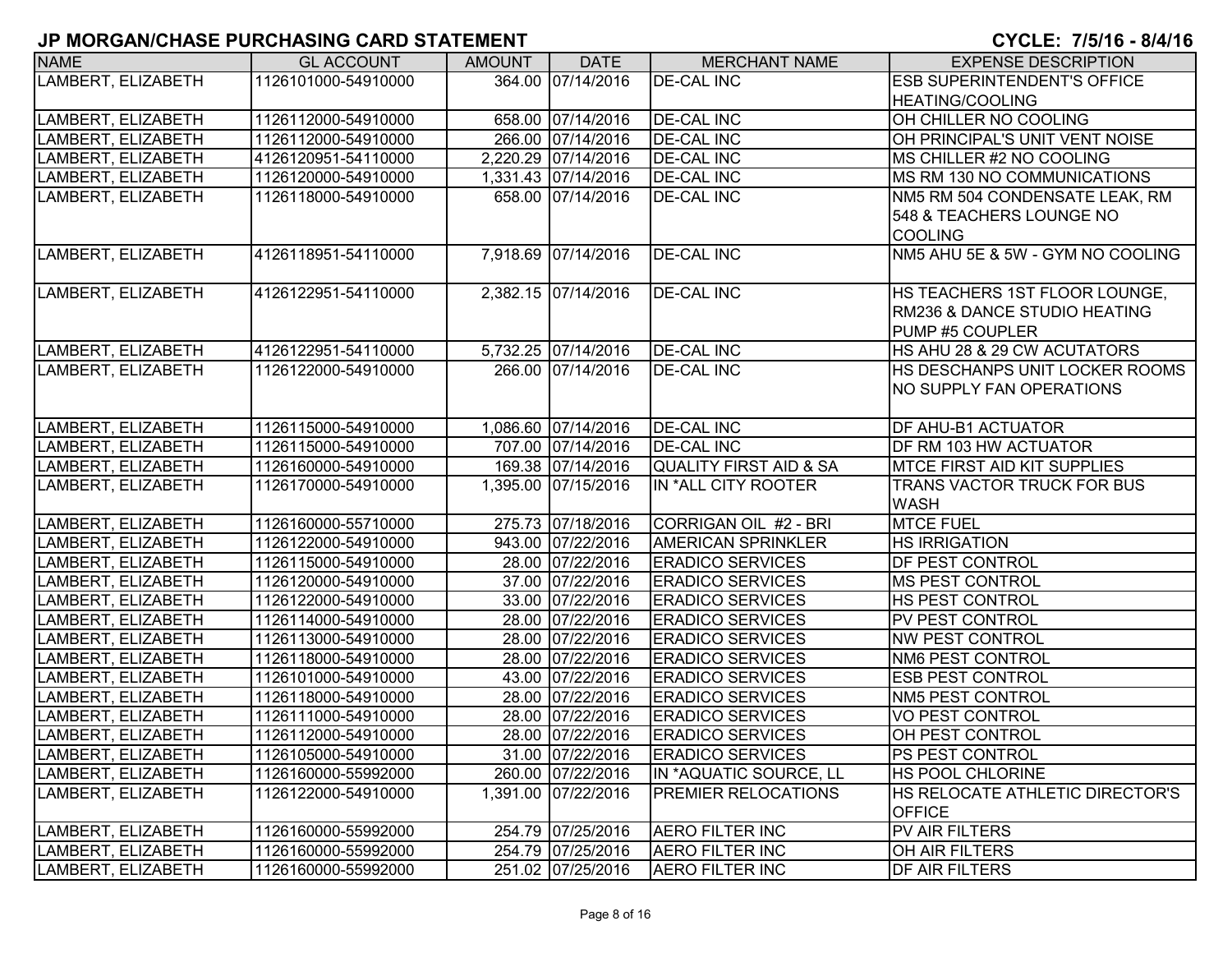| <b>NAME</b>        | <b>GL ACCOUNT</b>   | <b>AMOUNT</b> | <b>DATE</b>         | <b>MERCHANT NAME</b>              | <b>EXPENSE DESCRIPTION</b>         |
|--------------------|---------------------|---------------|---------------------|-----------------------------------|------------------------------------|
| LAMBERT, ELIZABETH | 1126101000-54910000 |               | 364.00 07/14/2016   | <b>DE-CAL INC</b>                 | <b>ESB SUPERINTENDENT'S OFFICE</b> |
|                    |                     |               |                     |                                   | <b>HEATING/COOLING</b>             |
| LAMBERT, ELIZABETH | 1126112000-54910000 |               | 658.00 07/14/2016   | <b>DE-CAL INC</b>                 | OH CHILLER NO COOLING              |
| LAMBERT, ELIZABETH | 1126112000-54910000 |               | 266.00 07/14/2016   | <b>DE-CAL INC</b>                 | OH PRINCIPAL'S UNIT VENT NOISE     |
| LAMBERT, ELIZABETH | 4126120951-54110000 |               | 2,220.29 07/14/2016 | <b>DE-CAL INC</b>                 | MS CHILLER #2 NO COOLING           |
| LAMBERT, ELIZABETH | 1126120000-54910000 |               | 1,331.43 07/14/2016 | <b>DE-CAL INC</b>                 | MS RM 130 NO COMMUNICATIONS        |
| LAMBERT, ELIZABETH | 1126118000-54910000 |               | 658.00 07/14/2016   | <b>DE-CAL INC</b>                 | NM5 RM 504 CONDENSATE LEAK, RM     |
|                    |                     |               |                     |                                   | 548 & TEACHERS LOUNGE NO           |
|                    |                     |               |                     |                                   | <b>COOLING</b>                     |
| LAMBERT, ELIZABETH | 4126118951-54110000 |               | 7,918.69 07/14/2016 | <b>DE-CAL INC</b>                 | NM5 AHU 5E & 5W - GYM NO COOLING   |
|                    |                     |               |                     |                                   |                                    |
| LAMBERT, ELIZABETH | 4126122951-54110000 |               | 2,382.15 07/14/2016 | <b>DE-CAL INC</b>                 | HS TEACHERS 1ST FLOOR LOUNGE,      |
|                    |                     |               |                     |                                   | RM236 & DANCE STUDIO HEATING       |
|                    |                     |               |                     |                                   | PUMP #5 COUPLER                    |
| LAMBERT, ELIZABETH | 4126122951-54110000 |               | 5,732.25 07/14/2016 | <b>DE-CAL INC</b>                 | HS AHU 28 & 29 CW ACUTATORS        |
| LAMBERT, ELIZABETH | 1126122000-54910000 |               | 266.00 07/14/2016   | <b>DE-CAL INC</b>                 | HS DESCHANPS UNIT LOCKER ROOMS     |
|                    |                     |               |                     |                                   | <b>NO SUPPLY FAN OPERATIONS</b>    |
|                    |                     |               |                     |                                   |                                    |
| LAMBERT, ELIZABETH | 1126115000-54910000 |               | 1,086.60 07/14/2016 | <b>DE-CAL INC</b>                 | DF AHU-B1 ACTUATOR                 |
| LAMBERT, ELIZABETH | 1126115000-54910000 |               | 707.00 07/14/2016   | <b>DE-CAL INC</b>                 | DF RM 103 HW ACTUATOR              |
| LAMBERT, ELIZABETH | 1126160000-54910000 |               | 169.38 07/14/2016   | <b>QUALITY FIRST AID &amp; SA</b> | <b>MTCE FIRST AID KIT SUPPLIES</b> |
| LAMBERT, ELIZABETH | 1126170000-54910000 |               | 1,395.00 07/15/2016 | IN *ALL CITY ROOTER               | TRANS VACTOR TRUCK FOR BUS         |
|                    |                     |               |                     |                                   | <b>WASH</b>                        |
| LAMBERT, ELIZABETH | 1126160000-55710000 |               | 275.73 07/18/2016   | CORRIGAN OIL #2 - BRI             | <b>MTCE FUEL</b>                   |
| LAMBERT, ELIZABETH | 1126122000-54910000 |               | 943.00 07/22/2016   | <b>AMERICAN SPRINKLER</b>         | <b>HS IRRIGATION</b>               |
| LAMBERT, ELIZABETH | 1126115000-54910000 |               | 28.00 07/22/2016    | <b>ERADICO SERVICES</b>           | DF PEST CONTROL                    |
| LAMBERT, ELIZABETH | 1126120000-54910000 |               | 37.00 07/22/2016    | <b>ERADICO SERVICES</b>           | <b>MS PEST CONTROL</b>             |
| LAMBERT, ELIZABETH | 1126122000-54910000 |               | 33.00 07/22/2016    | <b>ERADICO SERVICES</b>           | HS PEST CONTROL                    |
| LAMBERT, ELIZABETH | 1126114000-54910000 |               | 28.00 07/22/2016    | <b>ERADICO SERVICES</b>           | PV PEST CONTROL                    |
| LAMBERT, ELIZABETH | 1126113000-54910000 |               | 28.00 07/22/2016    | <b>ERADICO SERVICES</b>           | <b>NW PEST CONTROL</b>             |
| LAMBERT, ELIZABETH | 1126118000-54910000 |               | 28.00 07/22/2016    | <b>ERADICO SERVICES</b>           | NM6 PEST CONTROL                   |
| LAMBERT, ELIZABETH | 1126101000-54910000 |               | 43.00 07/22/2016    | <b>ERADICO SERVICES</b>           | <b>ESB PEST CONTROL</b>            |
| LAMBERT, ELIZABETH | 1126118000-54910000 |               | 28.00 07/22/2016    | <b>ERADICO SERVICES</b>           | NM5 PEST CONTROL                   |
| LAMBERT, ELIZABETH | 1126111000-54910000 |               | 28.00 07/22/2016    | <b>ERADICO SERVICES</b>           | <b>VO PEST CONTROL</b>             |
| LAMBERT, ELIZABETH | 1126112000-54910000 |               | 28.00 07/22/2016    | <b>ERADICO SERVICES</b>           | OH PEST CONTROL                    |
| LAMBERT, ELIZABETH | 1126105000-54910000 |               | 31.00 07/22/2016    | <b>ERADICO SERVICES</b>           | PS PEST CONTROL                    |
| LAMBERT, ELIZABETH | 1126160000-55992000 |               | 260.00 07/22/2016   | IN *AQUATIC SOURCE, LL            | HS POOL CHLORINE                   |
| LAMBERT, ELIZABETH | 1126122000-54910000 |               | 1,391.00 07/22/2016 | PREMIER RELOCATIONS               | HS RELOCATE ATHLETIC DIRECTOR'S    |
|                    |                     |               |                     |                                   | <b>OFFICE</b>                      |
| LAMBERT, ELIZABETH | 1126160000-55992000 |               | 254.79 07/25/2016   | <b>AERO FILTER INC</b>            | PV AIR FILTERS                     |
| LAMBERT, ELIZABETH | 1126160000-55992000 |               | 254.79 07/25/2016   | <b>AERO FILTER INC</b>            | OH AIR FILTERS                     |
| LAMBERT, ELIZABETH | 1126160000-55992000 |               | 251.02 07/25/2016   | <b>AERO FILTER INC</b>            | <b>DF AIR FILTERS</b>              |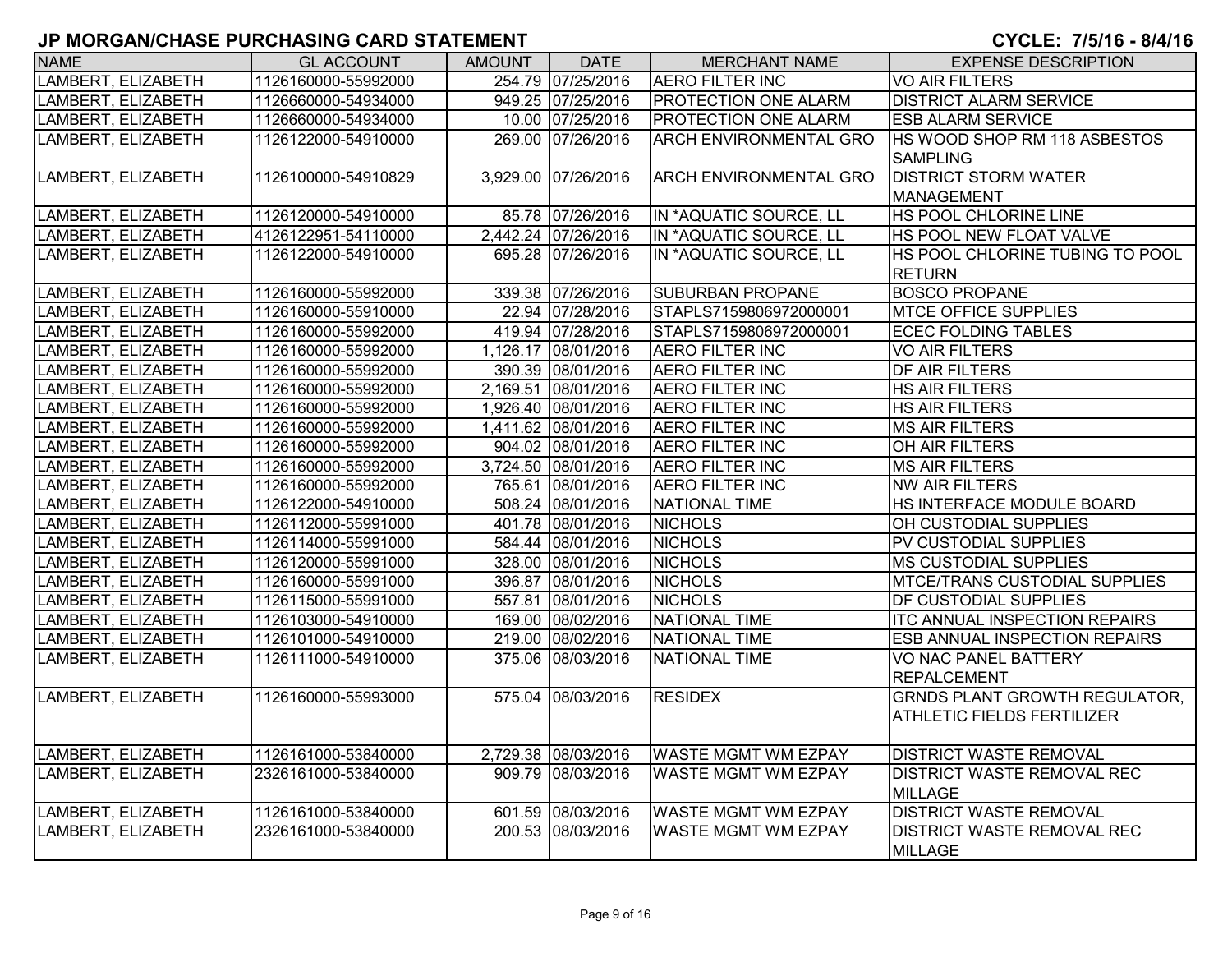| <b>NAME</b>        | <b>GL ACCOUNT</b>   | <b>AMOUNT</b> | <b>DATE</b>         | <b>MERCHANT NAME</b>          | <b>EXPENSE DESCRIPTION</b>           |
|--------------------|---------------------|---------------|---------------------|-------------------------------|--------------------------------------|
| LAMBERT, ELIZABETH | 1126160000-55992000 |               | 254.79 07/25/2016   | <b>AERO FILTER INC</b>        | <b>VO AIR FILTERS</b>                |
| LAMBERT, ELIZABETH | 1126660000-54934000 |               | 949.25 07/25/2016   | PROTECTION ONE ALARM          | <b>DISTRICT ALARM SERVICE</b>        |
| LAMBERT, ELIZABETH | 1126660000-54934000 |               | 10.00 07/25/2016    | PROTECTION ONE ALARM          | <b>ESB ALARM SERVICE</b>             |
| LAMBERT, ELIZABETH | 1126122000-54910000 |               | 269.00 07/26/2016   | ARCH ENVIRONMENTAL GRO        | HS WOOD SHOP RM 118 ASBESTOS         |
|                    |                     |               |                     |                               | <b>SAMPLING</b>                      |
| LAMBERT, ELIZABETH | 1126100000-54910829 |               | 3,929.00 07/26/2016 | <b>ARCH ENVIRONMENTAL GRO</b> | <b>DISTRICT STORM WATER</b>          |
|                    |                     |               |                     |                               | <b>MANAGEMENT</b>                    |
| LAMBERT, ELIZABETH | 1126120000-54910000 |               | 85.78 07/26/2016    | IN *AQUATIC SOURCE, LL        | HS POOL CHLORINE LINE                |
| LAMBERT, ELIZABETH | 4126122951-54110000 |               | 2,442.24 07/26/2016 | IN *AQUATIC SOURCE, LL        | HS POOL NEW FLOAT VALVE              |
| LAMBERT, ELIZABETH | 1126122000-54910000 |               | 695.28 07/26/2016   | IN *AQUATIC SOURCE, LL        | HS POOL CHLORINE TUBING TO POOL      |
|                    |                     |               |                     |                               | <b>RETURN</b>                        |
| LAMBERT, ELIZABETH | 1126160000-55992000 |               | 339.38 07/26/2016   | SUBURBAN PROPANE              | <b>BOSCO PROPANE</b>                 |
| LAMBERT, ELIZABETH | 1126160000-55910000 |               | 22.94 07/28/2016    | STAPLS7159806972000001        | <b>MTCE OFFICE SUPPLIES</b>          |
| LAMBERT, ELIZABETH | 1126160000-55992000 |               | 419.94 07/28/2016   | STAPLS7159806972000001        | <b>ECEC FOLDING TABLES</b>           |
| LAMBERT, ELIZABETH | 1126160000-55992000 |               | 1,126.17 08/01/2016 | <b>AERO FILTER INC</b>        | <b>VO AIR FILTERS</b>                |
| LAMBERT, ELIZABETH | 1126160000-55992000 |               | 390.39 08/01/2016   | <b>AERO FILTER INC</b>        | <b>DF AIR FILTERS</b>                |
| LAMBERT, ELIZABETH | 1126160000-55992000 |               | 2,169.51 08/01/2016 | <b>AERO FILTER INC</b>        | <b>HS AIR FILTERS</b>                |
| LAMBERT, ELIZABETH | 1126160000-55992000 |               | 1,926.40 08/01/2016 | <b>AERO FILTER INC</b>        | <b>HS AIR FILTERS</b>                |
| LAMBERT, ELIZABETH | 1126160000-55992000 |               | 1,411.62 08/01/2016 | <b>AERO FILTER INC</b>        | <b>MS AIR FILTERS</b>                |
| LAMBERT, ELIZABETH | 1126160000-55992000 |               | 904.02 08/01/2016   | <b>AERO FILTER INC</b>        | OH AIR FILTERS                       |
| LAMBERT, ELIZABETH | 1126160000-55992000 |               | 3,724.50 08/01/2016 | <b>AERO FILTER INC</b>        | <b>MS AIR FILTERS</b>                |
| LAMBERT, ELIZABETH | 1126160000-55992000 |               | 765.61 08/01/2016   | <b>AERO FILTER INC</b>        | <b>NW AIR FILTERS</b>                |
| LAMBERT, ELIZABETH | 1126122000-54910000 |               | 508.24 08/01/2016   | <b>NATIONAL TIME</b>          | HS INTERFACE MODULE BOARD            |
| LAMBERT, ELIZABETH | 1126112000-55991000 |               | 401.78 08/01/2016   | <b>NICHOLS</b>                | OH CUSTODIAL SUPPLIES                |
| LAMBERT, ELIZABETH | 1126114000-55991000 |               | 584.44 08/01/2016   | <b>NICHOLS</b>                | PV CUSTODIAL SUPPLIES                |
| LAMBERT, ELIZABETH | 1126120000-55991000 |               | 328.00 08/01/2016   | <b>NICHOLS</b>                | <b>MS CUSTODIAL SUPPLIES</b>         |
| LAMBERT, ELIZABETH | 1126160000-55991000 |               | 396.87 08/01/2016   | <b>NICHOLS</b>                | MTCE/TRANS CUSTODIAL SUPPLIES        |
| LAMBERT, ELIZABETH | 1126115000-55991000 |               | 557.81 08/01/2016   | <b>NICHOLS</b>                | DF CUSTODIAL SUPPLIES                |
| LAMBERT, ELIZABETH | 1126103000-54910000 |               | 169.00 08/02/2016   | <b>NATIONAL TIME</b>          | <b>ITC ANNUAL INSPECTION REPAIRS</b> |
| LAMBERT, ELIZABETH | 1126101000-54910000 |               | 219.00 08/02/2016   | <b>NATIONAL TIME</b>          | <b>ESB ANNUAL INSPECTION REPAIRS</b> |
| LAMBERT, ELIZABETH | 1126111000-54910000 |               | 375.06 08/03/2016   | NATIONAL TIME                 | <b>VO NAC PANEL BATTERY</b>          |
|                    |                     |               |                     |                               | <b>REPALCEMENT</b>                   |
| LAMBERT, ELIZABETH | 1126160000-55993000 |               | 575.04 08/03/2016   | <b>RESIDEX</b>                | <b>GRNDS PLANT GROWTH REGULATOR,</b> |
|                    |                     |               |                     |                               | <b>ATHLETIC FIELDS FERTILIZER</b>    |
|                    |                     |               |                     |                               |                                      |
| LAMBERT, ELIZABETH | 1126161000-53840000 |               | 2,729.38 08/03/2016 | <b>WASTE MGMT WM EZPAY</b>    | <b>DISTRICT WASTE REMOVAL</b>        |
| LAMBERT, ELIZABETH | 2326161000-53840000 |               | 909.79 08/03/2016   | <b>WASTE MGMT WM EZPAY</b>    | <b>DISTRICT WASTE REMOVAL REC</b>    |
|                    |                     |               |                     |                               | <b>MILLAGE</b>                       |
| LAMBERT, ELIZABETH | 1126161000-53840000 |               | 601.59 08/03/2016   | WASTE MGMT WM EZPAY           | <b>DISTRICT WASTE REMOVAL</b>        |
| LAMBERT, ELIZABETH | 2326161000-53840000 |               | 200.53 08/03/2016   | WASTE MGMT WM EZPAY           | <b>DISTRICT WASTE REMOVAL REC</b>    |
|                    |                     |               |                     |                               | <b>MILLAGE</b>                       |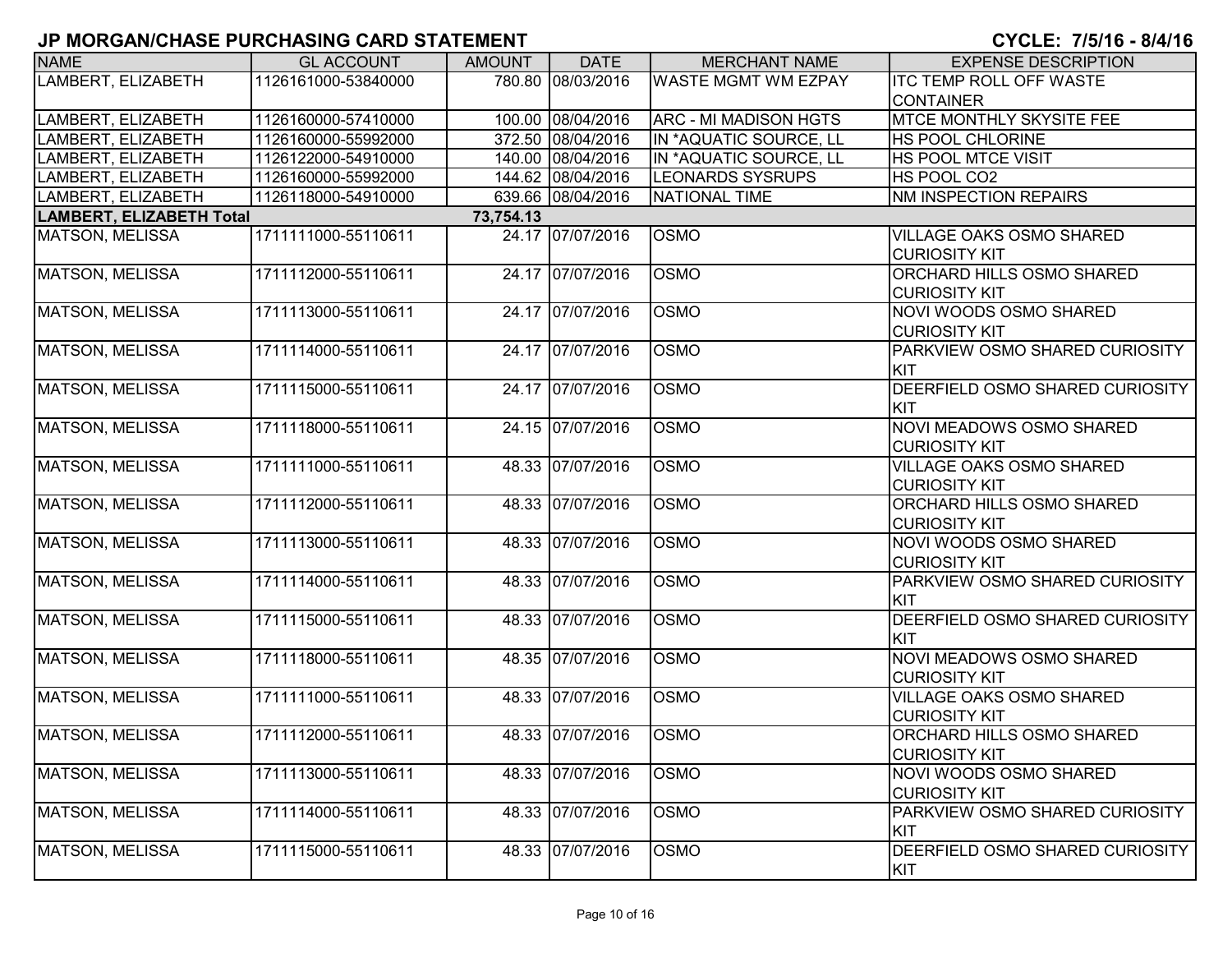| <b>NAME</b>                     | <b>GL ACCOUNT</b>   | <b>AMOUNT</b> | <b>DATE</b>       | <b>MERCHANT NAME</b>         | <b>EXPENSE DESCRIPTION</b>      |
|---------------------------------|---------------------|---------------|-------------------|------------------------------|---------------------------------|
| LAMBERT, ELIZABETH              | 1126161000-53840000 |               | 780.80 08/03/2016 | <b>WASTE MGMT WM EZPAY</b>   | <b>ITC TEMP ROLL OFF WASTE</b>  |
|                                 |                     |               |                   |                              | <b>CONTAINER</b>                |
| LAMBERT, ELIZABETH              | 1126160000-57410000 |               | 100.00 08/04/2016 | <b>ARC - MI MADISON HGTS</b> | <b>MTCE MONTHLY SKYSITE FEE</b> |
| LAMBERT, ELIZABETH              | 1126160000-55992000 |               | 372.50 08/04/2016 | IN *AQUATIC SOURCE, LL       | <b>HS POOL CHLORINE</b>         |
| LAMBERT, ELIZABETH              | 1126122000-54910000 |               | 140.00 08/04/2016 | IN *AQUATIC SOURCE, LL       | <b>HS POOL MTCE VISIT</b>       |
| LAMBERT, ELIZABETH              | 1126160000-55992000 |               | 144.62 08/04/2016 | <b>LEONARDS SYSRUPS</b>      | HS POOL CO2                     |
| LAMBERT, ELIZABETH              | 1126118000-54910000 |               | 639.66 08/04/2016 | NATIONAL TIME                | <b>NM INSPECTION REPAIRS</b>    |
| <b>LAMBERT, ELIZABETH Total</b> |                     | 73,754.13     |                   |                              |                                 |
| <b>MATSON, MELISSA</b>          | 1711111000-55110611 |               | 24.17 07/07/2016  | <b>OSMO</b>                  | <b>VILLAGE OAKS OSMO SHARED</b> |
|                                 |                     |               |                   |                              | <b>CURIOSITY KIT</b>            |
| <b>MATSON, MELISSA</b>          | 1711112000-55110611 |               | 24.17 07/07/2016  | <b>OSMO</b>                  | ORCHARD HILLS OSMO SHARED       |
|                                 |                     |               |                   |                              | <b>CURIOSITY KIT</b>            |
| <b>MATSON, MELISSA</b>          | 1711113000-55110611 |               | 24.17 07/07/2016  | <b>OSMO</b>                  | <b>NOVI WOODS OSMO SHARED</b>   |
|                                 |                     |               |                   |                              | <b>CURIOSITY KIT</b>            |
| <b>MATSON, MELISSA</b>          | 1711114000-55110611 |               | 24.17 07/07/2016  | <b>OSMO</b>                  | PARKVIEW OSMO SHARED CURIOSITY  |
|                                 |                     |               |                   |                              | KIT                             |
| <b>MATSON, MELISSA</b>          | 1711115000-55110611 |               | 24.17 07/07/2016  | <b>OSMO</b>                  | DEERFIELD OSMO SHARED CURIOSITY |
|                                 |                     |               |                   |                              | KIT                             |
| <b>MATSON, MELISSA</b>          | 1711118000-55110611 |               | 24.15 07/07/2016  | <b>OSMO</b>                  | NOVI MEADOWS OSMO SHARED        |
|                                 |                     |               |                   |                              | <b>CURIOSITY KIT</b>            |
| <b>MATSON, MELISSA</b>          | 1711111000-55110611 |               | 48.33 07/07/2016  | <b>OSMO</b>                  | <b>VILLAGE OAKS OSMO SHARED</b> |
|                                 |                     |               |                   |                              | <b>CURIOSITY KIT</b>            |
| <b>MATSON, MELISSA</b>          | 1711112000-55110611 |               | 48.33 07/07/2016  | <b>OSMO</b>                  | ORCHARD HILLS OSMO SHARED       |
|                                 |                     |               |                   |                              | <b>CURIOSITY KIT</b>            |
| <b>MATSON, MELISSA</b>          | 1711113000-55110611 |               | 48.33 07/07/2016  | <b>OSMO</b>                  | NOVI WOODS OSMO SHARED          |
|                                 |                     |               |                   |                              | <b>CURIOSITY KIT</b>            |
| <b>MATSON, MELISSA</b>          | 1711114000-55110611 |               | 48.33 07/07/2016  | <b>OSMO</b>                  | PARKVIEW OSMO SHARED CURIOSITY  |
|                                 |                     |               |                   |                              | KIT                             |
| <b>MATSON, MELISSA</b>          | 1711115000-55110611 |               | 48.33 07/07/2016  | <b>OSMO</b>                  | DEERFIELD OSMO SHARED CURIOSITY |
|                                 |                     |               |                   |                              | KIT                             |
| <b>MATSON, MELISSA</b>          | 1711118000-55110611 |               | 48.35 07/07/2016  | <b>OSMO</b>                  | NOVI MEADOWS OSMO SHARED        |
|                                 |                     |               |                   |                              | <b>CURIOSITY KIT</b>            |
| <b>MATSON, MELISSA</b>          | 1711111000-55110611 |               | 48.33 07/07/2016  | <b>OSMO</b>                  | <b>VILLAGE OAKS OSMO SHARED</b> |
|                                 |                     |               |                   |                              | <b>CURIOSITY KIT</b>            |
| MATSON, MELISSA                 | 1711112000-55110611 |               | 48.33 07/07/2016  | <b>OSMO</b>                  | ORCHARD HILLS OSMO SHARED       |
|                                 |                     |               |                   |                              | <b>CURIOSITY KIT</b>            |
| <b>MATSON, MELISSA</b>          | 1711113000-55110611 |               | 48.33 07/07/2016  | <b>OSMO</b>                  | <b>NOVI WOODS OSMO SHARED</b>   |
|                                 |                     |               |                   |                              | <b>CURIOSITY KIT</b>            |
| <b>MATSON, MELISSA</b>          | 1711114000-55110611 |               | 48.33 07/07/2016  | <b>OSMO</b>                  | PARKVIEW OSMO SHARED CURIOSITY  |
|                                 |                     |               |                   |                              | KIT                             |
| <b>MATSON, MELISSA</b>          | 1711115000-55110611 |               | 48.33 07/07/2016  | <b>OSMO</b>                  | DEERFIELD OSMO SHARED CURIOSITY |
|                                 |                     |               |                   |                              | <b>KIT</b>                      |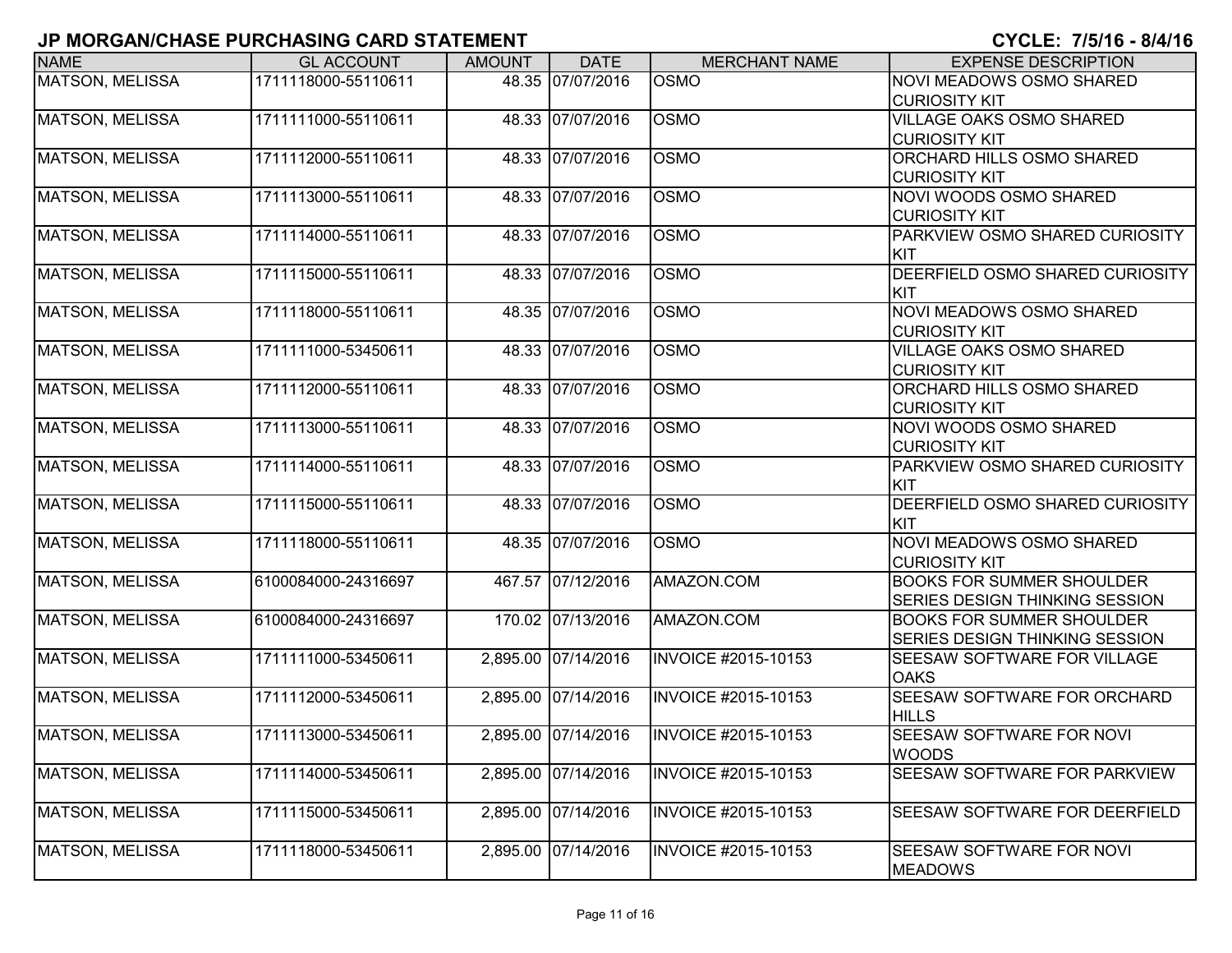| <b>NAME</b>            | <b>GL ACCOUNT</b>   | <b>AMOUNT</b> | <b>DATE</b>         | <b>MERCHANT NAME</b>       | <b>EXPENSE DESCRIPTION</b>                                         |
|------------------------|---------------------|---------------|---------------------|----------------------------|--------------------------------------------------------------------|
| <b>MATSON, MELISSA</b> | 1711118000-55110611 | 48.35         | 07/07/2016          | <b>OSMO</b>                | NOVI MEADOWS OSMO SHARED<br><b>CURIOSITY KIT</b>                   |
| <b>MATSON, MELISSA</b> | 1711111000-55110611 | 48.33         | 07/07/2016          | <b>OSMO</b>                | <b>VILLAGE OAKS OSMO SHARED</b><br><b>CURIOSITY KIT</b>            |
| <b>MATSON, MELISSA</b> | 1711112000-55110611 |               | 48.33 07/07/2016    | <b>OSMO</b>                | ORCHARD HILLS OSMO SHARED<br><b>CURIOSITY KIT</b>                  |
| <b>MATSON, MELISSA</b> | 1711113000-55110611 |               | 48.33 07/07/2016    | <b>OSMO</b>                | NOVI WOODS OSMO SHARED<br><b>CURIOSITY KIT</b>                     |
| <b>MATSON, MELISSA</b> | 1711114000-55110611 |               | 48.33 07/07/2016    | <b>OSMO</b>                | PARKVIEW OSMO SHARED CURIOSITY<br>KIT                              |
| <b>MATSON, MELISSA</b> | 1711115000-55110611 | 48.33         | 07/07/2016          | <b>OSMO</b>                | DEERFIELD OSMO SHARED CURIOSITY<br>KIT                             |
| <b>MATSON, MELISSA</b> | 1711118000-55110611 |               | 48.35 07/07/2016    | <b>OSMO</b>                | NOVI MEADOWS OSMO SHARED<br><b>CURIOSITY KIT</b>                   |
| <b>MATSON, MELISSA</b> | 1711111000-53450611 |               | 48.33 07/07/2016    | <b>OSMO</b>                | VILLAGE OAKS OSMO SHARED<br><b>CURIOSITY KIT</b>                   |
| <b>MATSON, MELISSA</b> | 1711112000-55110611 |               | 48.33 07/07/2016    | <b>OSMO</b>                | ORCHARD HILLS OSMO SHARED<br><b>CURIOSITY KIT</b>                  |
| <b>MATSON, MELISSA</b> | 1711113000-55110611 |               | 48.33 07/07/2016    | <b>OSMO</b>                | NOVI WOODS OSMO SHARED<br><b>CURIOSITY KIT</b>                     |
| <b>MATSON, MELISSA</b> | 1711114000-55110611 |               | 48.33 07/07/2016    | <b>OSMO</b>                | PARKVIEW OSMO SHARED CURIOSITY<br>KIT                              |
| <b>MATSON, MELISSA</b> | 1711115000-55110611 |               | 48.33 07/07/2016    | OSMO                       | DEERFIELD OSMO SHARED CURIOSITY<br>KIT                             |
| <b>MATSON, MELISSA</b> | 1711118000-55110611 |               | 48.35 07/07/2016    | <b>OSMO</b>                | NOVI MEADOWS OSMO SHARED<br><b>CURIOSITY KIT</b>                   |
| <b>MATSON, MELISSA</b> | 6100084000-24316697 |               | 467.57 07/12/2016   | AMAZON.COM                 | <b>BOOKS FOR SUMMER SHOULDER</b><br>SERIES DESIGN THINKING SESSION |
| <b>MATSON, MELISSA</b> | 6100084000-24316697 |               | 170.02 07/13/2016   | AMAZON.COM                 | <b>BOOKS FOR SUMMER SHOULDER</b><br>SERIES DESIGN THINKING SESSION |
| <b>MATSON, MELISSA</b> | 1711111000-53450611 | 2,895.00      | 07/14/2016          | <b>INVOICE #2015-10153</b> | <b>SEESAW SOFTWARE FOR VILLAGE</b><br><b>OAKS</b>                  |
| <b>MATSON, MELISSA</b> | 1711112000-53450611 |               | 2,895.00 07/14/2016 | <b>INVOICE #2015-10153</b> | SEESAW SOFTWARE FOR ORCHARD<br><b>HILLS</b>                        |
| MATSON, MELISSA        | 1711113000-53450611 |               | 2,895.00 07/14/2016 | <b>INVOICE #2015-10153</b> | SEESAW SOFTWARE FOR NOVI<br><b>WOODS</b>                           |
| <b>MATSON, MELISSA</b> | 1711114000-53450611 | 2,895.00      | 07/14/2016          | INVOICE #2015-10153        | SEESAW SOFTWARE FOR PARKVIEW                                       |
| <b>MATSON, MELISSA</b> | 1711115000-53450611 | 2,895.00      | 07/14/2016          | INVOICE #2015-10153        | <b>SEESAW SOFTWARE FOR DEERFIELD</b>                               |
| <b>MATSON, MELISSA</b> | 1711118000-53450611 | 2,895.00      | 07/14/2016          | INVOICE #2015-10153        | SEESAW SOFTWARE FOR NOVI<br><b>MEADOWS</b>                         |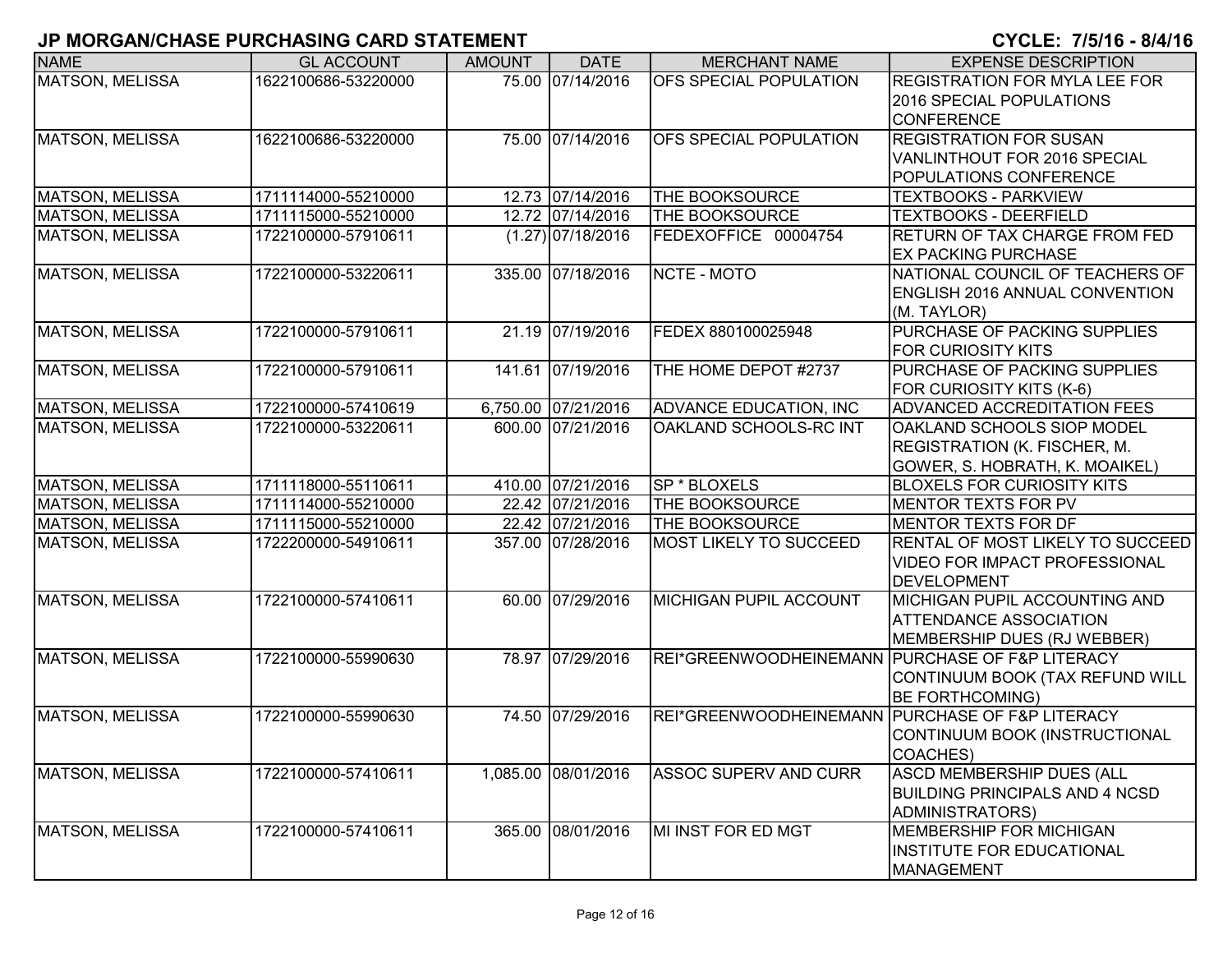| <b>NAME</b>            | <b>GL ACCOUNT</b>   | <b>AMOUNT</b> | <b>DATE</b>         | <b>MERCHANT NAME</b>                            | <b>EXPENSE DESCRIPTION</b>              |
|------------------------|---------------------|---------------|---------------------|-------------------------------------------------|-----------------------------------------|
| <b>MATSON, MELISSA</b> | 1622100686-53220000 |               | 75.00 07/14/2016    | OFS SPECIAL POPULATION                          | <b>REGISTRATION FOR MYLA LEE FOR</b>    |
|                        |                     |               |                     |                                                 | <b>2016 SPECIAL POPULATIONS</b>         |
|                        |                     |               |                     |                                                 | <b>CONFERENCE</b>                       |
| <b>MATSON, MELISSA</b> | 1622100686-53220000 |               | 75.00 07/14/2016    | OFS SPECIAL POPULATION                          | <b>REGISTRATION FOR SUSAN</b>           |
|                        |                     |               |                     |                                                 | VANLINTHOUT FOR 2016 SPECIAL            |
|                        |                     |               |                     |                                                 | POPULATIONS CONFERENCE                  |
| <b>MATSON, MELISSA</b> | 1711114000-55210000 |               | 12.73 07/14/2016    | THE BOOKSOURCE                                  | <b>TEXTBOOKS - PARKVIEW</b>             |
| <b>MATSON, MELISSA</b> | 1711115000-55210000 |               | 12.72 07/14/2016    | THE BOOKSOURCE                                  | <b>TEXTBOOKS - DEERFIELD</b>            |
| <b>MATSON, MELISSA</b> | 1722100000-57910611 |               | $(1.27)$ 07/18/2016 | FEDEXOFFICE 00004754                            | RETURN OF TAX CHARGE FROM FED           |
|                        |                     |               |                     |                                                 | <b>EX PACKING PURCHASE</b>              |
| <b>MATSON, MELISSA</b> | 1722100000-53220611 |               | 335.00 07/18/2016   | NCTE - MOTO                                     | NATIONAL COUNCIL OF TEACHERS OF         |
|                        |                     |               |                     |                                                 | ENGLISH 2016 ANNUAL CONVENTION          |
|                        |                     |               |                     |                                                 | (M. TAYLOR)                             |
| <b>MATSON, MELISSA</b> | 1722100000-57910611 |               | 21.19 07/19/2016    | FEDEX 880100025948                              | PURCHASE OF PACKING SUPPLIES            |
|                        |                     |               |                     |                                                 | <b>FOR CURIOSITY KITS</b>               |
| MATSON, MELISSA        | 1722100000-57910611 |               | 141.61 07/19/2016   | THE HOME DEPOT #2737                            | PURCHASE OF PACKING SUPPLIES            |
|                        |                     |               |                     |                                                 | FOR CURIOSITY KITS (K-6)                |
| <b>MATSON, MELISSA</b> | 1722100000-57410619 |               | 6,750.00 07/21/2016 | <b>ADVANCE EDUCATION, INC</b>                   | ADVANCED ACCREDITATION FEES             |
| <b>MATSON, MELISSA</b> | 1722100000-53220611 |               | 600.00 07/21/2016   | OAKLAND SCHOOLS-RC INT                          | <b>OAKLAND SCHOOLS SIOP MODEL</b>       |
|                        |                     |               |                     |                                                 | <b>REGISTRATION (K. FISCHER, M.</b>     |
|                        |                     |               |                     |                                                 | GOWER, S. HOBRATH, K. MOAIKEL)          |
| MATSON, MELISSA        | 1711118000-55110611 |               | 410.00 07/21/2016   | SP * BLOXELS                                    | <b>BLOXELS FOR CURIOSITY KITS</b>       |
| <b>MATSON, MELISSA</b> | 1711114000-55210000 |               | 22.42 07/21/2016    | THE BOOKSOURCE                                  | <b>MENTOR TEXTS FOR PV</b>              |
| <b>MATSON, MELISSA</b> | 1711115000-55210000 |               | 22.42 07/21/2016    | THE BOOKSOURCE                                  | <b>MENTOR TEXTS FOR DF</b>              |
| <b>MATSON, MELISSA</b> | 1722200000-54910611 |               | 357.00 07/28/2016   | <b>MOST LIKELY TO SUCCEED</b>                   | <b>RENTAL OF MOST LIKELY TO SUCCEED</b> |
|                        |                     |               |                     |                                                 | VIDEO FOR IMPACT PROFESSIONAL           |
|                        |                     |               |                     |                                                 | <b>DEVELOPMENT</b>                      |
| <b>MATSON, MELISSA</b> | 1722100000-57410611 |               | 60.00 07/29/2016    | MICHIGAN PUPIL ACCOUNT                          | MICHIGAN PUPIL ACCOUNTING AND           |
|                        |                     |               |                     |                                                 | <b>ATTENDANCE ASSOCIATION</b>           |
|                        |                     |               |                     |                                                 | MEMBERSHIP DUES (RJ WEBBER)             |
| MATSON, MELISSA        | 1722100000-55990630 |               | 78.97 07/29/2016    | REI*GREENWOODHEINEMANN PURCHASE OF F&P LITERACY |                                         |
|                        |                     |               |                     |                                                 | CONTINUUM BOOK (TAX REFUND WILL         |
|                        |                     |               |                     |                                                 | <b>BE FORTHCOMING)</b>                  |
| <b>MATSON, MELISSA</b> | 1722100000-55990630 |               | 74.50 07/29/2016    | REI*GREENWOODHEINEMANN PURCHASE OF F&P LITERACY |                                         |
|                        |                     |               |                     |                                                 | CONTINUUM BOOK (INSTRUCTIONAL           |
|                        |                     |               |                     |                                                 | COACHES)                                |
| <b>MATSON, MELISSA</b> | 1722100000-57410611 |               | 1,085.00 08/01/2016 | <b>ASSOC SUPERV AND CURR</b>                    | ASCD MEMBERSHIP DUES (ALL               |
|                        |                     |               |                     |                                                 | <b>BUILDING PRINCIPALS AND 4 NCSD</b>   |
|                        |                     |               |                     |                                                 | ADMINISTRATORS)                         |
| <b>MATSON, MELISSA</b> | 1722100000-57410611 |               | 365.00 08/01/2016   | MI INST FOR ED MGT                              | <b>MEMBERSHIP FOR MICHIGAN</b>          |
|                        |                     |               |                     |                                                 | <b>INSTITUTE FOR EDUCATIONAL</b>        |
|                        |                     |               |                     |                                                 | <b>MANAGEMENT</b>                       |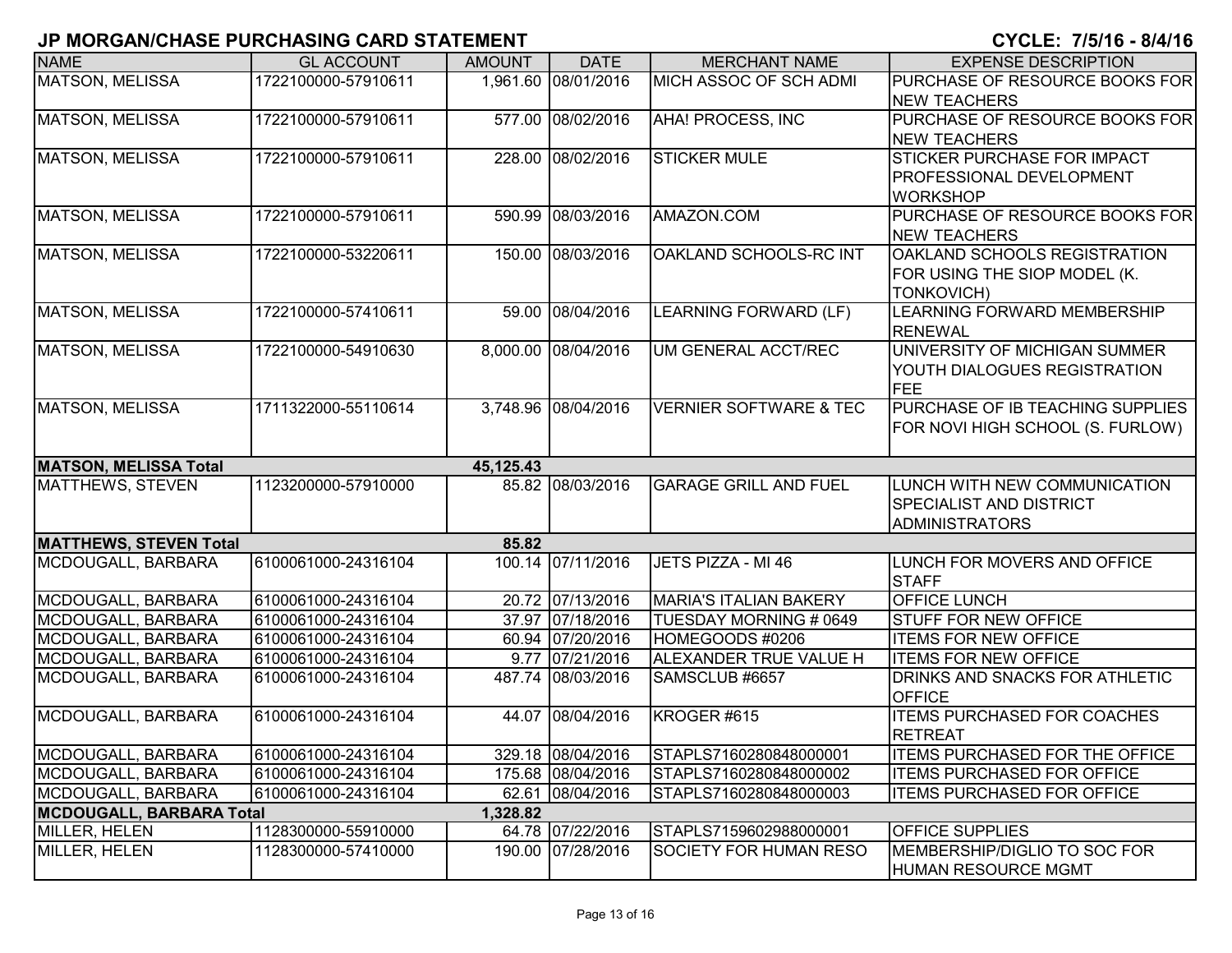| <b>NAME</b>                     | <b>GL ACCOUNT</b>   | <b>AMOUNT</b> | <b>DATE</b>         | <b>MERCHANT NAME</b>              | <b>EXPENSE DESCRIPTION</b>                          |
|---------------------------------|---------------------|---------------|---------------------|-----------------------------------|-----------------------------------------------------|
| <b>MATSON, MELISSA</b>          | 1722100000-57910611 |               | 1,961.60 08/01/2016 | MICH ASSOC OF SCH ADMI            | PURCHASE OF RESOURCE BOOKS FOR                      |
|                                 |                     |               |                     |                                   | <b>NEW TEACHERS</b>                                 |
| <b>MATSON, MELISSA</b>          | 1722100000-57910611 |               | 577.00 08/02/2016   | <b>AHA! PROCESS, INC</b>          | PURCHASE OF RESOURCE BOOKS FOR                      |
|                                 |                     |               |                     |                                   | <b>NEW TEACHERS</b>                                 |
| <b>MATSON, MELISSA</b>          | 1722100000-57910611 |               | 228.00 08/02/2016   | <b>STICKER MULE</b>               | STICKER PURCHASE FOR IMPACT                         |
|                                 |                     |               |                     |                                   | PROFESSIONAL DEVELOPMENT                            |
|                                 |                     |               |                     |                                   | <b>WORKSHOP</b>                                     |
| <b>MATSON, MELISSA</b>          | 1722100000-57910611 |               | 590.99 08/03/2016   | AMAZON.COM                        | PURCHASE OF RESOURCE BOOKS FOR                      |
|                                 |                     |               |                     |                                   | <b>NEW TEACHERS</b>                                 |
| <b>MATSON, MELISSA</b>          | 1722100000-53220611 |               | 150.00 08/03/2016   | OAKLAND SCHOOLS-RC INT            | OAKLAND SCHOOLS REGISTRATION                        |
|                                 |                     |               |                     |                                   | FOR USING THE SIOP MODEL (K.                        |
|                                 |                     |               |                     |                                   | <b>TONKOVICH)</b>                                   |
| <b>MATSON, MELISSA</b>          | 1722100000-57410611 |               | 59.00 08/04/2016    | LEARNING FORWARD (LF)             | LEARNING FORWARD MEMBERSHIP                         |
|                                 |                     |               |                     |                                   | <b>RENEWAL</b>                                      |
| MATSON, MELISSA                 | 1722100000-54910630 |               | 8,000.00 08/04/2016 | UM GENERAL ACCT/REC               | UNIVERSITY OF MICHIGAN SUMMER                       |
|                                 |                     |               |                     |                                   | YOUTH DIALOGUES REGISTRATION                        |
|                                 |                     |               |                     |                                   | FEE                                                 |
| <b>MATSON, MELISSA</b>          | 1711322000-55110614 |               | 3,748.96 08/04/2016 | <b>VERNIER SOFTWARE &amp; TEC</b> | PURCHASE OF IB TEACHING SUPPLIES                    |
|                                 |                     |               |                     |                                   | FOR NOVI HIGH SCHOOL (S. FURLOW)                    |
|                                 |                     |               |                     |                                   |                                                     |
| <b>MATSON, MELISSA Total</b>    |                     | 45,125.43     |                     |                                   |                                                     |
| <b>MATTHEWS, STEVEN</b>         | 1123200000-57910000 |               | 85.82 08/03/2016    | <b>GARAGE GRILL AND FUEL</b>      | LUNCH WITH NEW COMMUNICATION                        |
|                                 |                     |               |                     |                                   | <b>SPECIALIST AND DISTRICT</b>                      |
|                                 |                     |               |                     |                                   | <b>ADMINISTRATORS</b>                               |
| <b>MATTHEWS, STEVEN Total</b>   |                     | 85.82         |                     |                                   |                                                     |
| MCDOUGALL, BARBARA              | 6100061000-24316104 |               | 100.14 07/11/2016   | JETS PIZZA - MI 46                | LUNCH FOR MOVERS AND OFFICE                         |
|                                 |                     |               |                     |                                   | <b>STAFF</b>                                        |
| MCDOUGALL, BARBARA              | 6100061000-24316104 |               | 20.72 07/13/2016    | <b>MARIA'S ITALIAN BAKERY</b>     | OFFICE LUNCH                                        |
| MCDOUGALL, BARBARA              | 6100061000-24316104 |               | 37.97 07/18/2016    | TUESDAY MORNING # 0649            | <b>STUFF FOR NEW OFFICE</b>                         |
| MCDOUGALL, BARBARA              | 6100061000-24316104 |               | 60.94 07/20/2016    | HOMEGOODS #0206                   | <b>ITEMS FOR NEW OFFICE</b>                         |
| MCDOUGALL, BARBARA              | 6100061000-24316104 |               | 9.77 07/21/2016     | ALEXANDER TRUE VALUE H            | <b>ITEMS FOR NEW OFFICE</b>                         |
| MCDOUGALL, BARBARA              | 6100061000-24316104 |               | 487.74 08/03/2016   | SAMSCLUB #6657                    | DRINKS AND SNACKS FOR ATHLETIC                      |
|                                 | 6100061000-24316104 |               |                     | KROGER #615                       | <b>OFFICE</b><br><b>ITEMS PURCHASED FOR COACHES</b> |
| MCDOUGALL, BARBARA              |                     |               | 44.07 08/04/2016    |                                   |                                                     |
|                                 |                     |               |                     |                                   | <b>RETREAT</b>                                      |
| MCDOUGALL, BARBARA              | 6100061000-24316104 |               | 329.18 08/04/2016   | STAPLS7160280848000001            | <b>ITEMS PURCHASED FOR THE OFFICE</b>               |
| MCDOUGALL, BARBARA              | 6100061000-24316104 |               | 175.68 08/04/2016   | STAPLS7160280848000002            | <b>ITEMS PURCHASED FOR OFFICE</b>                   |
| MCDOUGALL, BARBARA              | 6100061000-24316104 |               | 62.61 08/04/2016    | STAPLS7160280848000003            | <b>ITEMS PURCHASED FOR OFFICE</b>                   |
| <b>MCDOUGALL, BARBARA Total</b> |                     | 1,328.82      |                     |                                   |                                                     |
| MILLER, HELEN                   | 1128300000-55910000 |               | 64.78 07/22/2016    | STAPLS7159602988000001            | <b>OFFICE SUPPLIES</b>                              |
| MILLER, HELEN                   | 1128300000-57410000 |               | 190.00 07/28/2016   | SOCIETY FOR HUMAN RESO            | MEMBERSHIP/DIGLIO TO SOC FOR                        |
|                                 |                     |               |                     |                                   | <b>HUMAN RESOURCE MGMT</b>                          |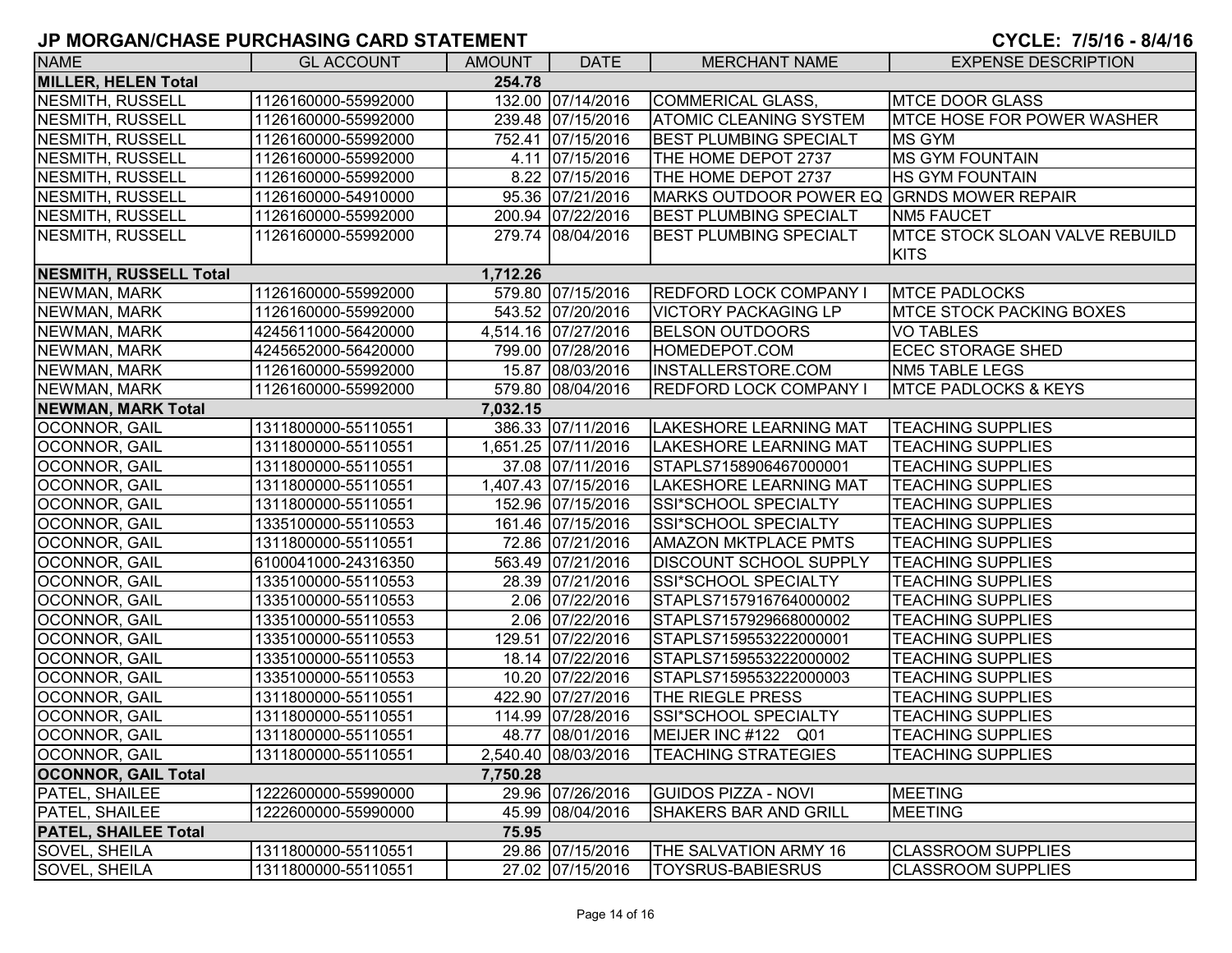| <b>NAME</b>                          | <b>GL ACCOUNT</b>   | <b>AMOUNT</b> | <b>DATE</b>         | <b>MERCHANT NAME</b>                      | <b>EXPENSE DESCRIPTION</b>                           |  |
|--------------------------------------|---------------------|---------------|---------------------|-------------------------------------------|------------------------------------------------------|--|
| <b>MILLER, HELEN Total</b><br>254.78 |                     |               |                     |                                           |                                                      |  |
| <b>NESMITH, RUSSELL</b>              | 1126160000-55992000 |               | 132.00 07/14/2016   | COMMERICAL GLASS,                         | <b>MTCE DOOR GLASS</b>                               |  |
| <b>NESMITH, RUSSELL</b>              | 1126160000-55992000 |               | 239.48 07/15/2016   | <b>ATOMIC CLEANING SYSTEM</b>             | MTCE HOSE FOR POWER WASHER                           |  |
| <b>NESMITH, RUSSELL</b>              | 1126160000-55992000 |               | 752.41 07/15/2016   | <b>BEST PLUMBING SPECIALT</b>             | <b>MS GYM</b>                                        |  |
| <b>NESMITH, RUSSELL</b>              | 1126160000-55992000 |               | 4.11 07/15/2016     | THE HOME DEPOT 2737                       | <b>MS GYM FOUNTAIN</b>                               |  |
| <b>NESMITH, RUSSELL</b>              | 1126160000-55992000 |               | 8.22 07/15/2016     | THE HOME DEPOT 2737                       | <b>HS GYM FOUNTAIN</b>                               |  |
| <b>NESMITH, RUSSELL</b>              | 1126160000-54910000 |               | 95.36 07/21/2016    | MARKS OUTDOOR POWER EQ GRNDS MOWER REPAIR |                                                      |  |
| <b>NESMITH, RUSSELL</b>              | 1126160000-55992000 |               | 200.94 07/22/2016   | <b>BEST PLUMBING SPECIALT</b>             | <b>NM5 FAUCET</b>                                    |  |
| <b>NESMITH, RUSSELL</b>              | 1126160000-55992000 |               | 279.74 08/04/2016   | <b>BEST PLUMBING SPECIALT</b>             | <b>MTCE STOCK SLOAN VALVE REBUILD</b><br><b>KITS</b> |  |
| <b>NESMITH, RUSSELL Total</b>        |                     | 1,712.26      |                     |                                           |                                                      |  |
| NEWMAN, MARK                         | 1126160000-55992000 |               | 579.80 07/15/2016   | <b>REDFORD LOCK COMPANY I</b>             | <b>MTCE PADLOCKS</b>                                 |  |
| NEWMAN, MARK                         | 1126160000-55992000 |               | 543.52 07/20/2016   | <b>VICTORY PACKAGING LP</b>               | <b>MTCE STOCK PACKING BOXES</b>                      |  |
| NEWMAN, MARK                         | 4245611000-56420000 |               | 4,514.16 07/27/2016 | <b>BELSON OUTDOORS</b>                    | <b>VO TABLES</b>                                     |  |
| NEWMAN, MARK                         | 4245652000-56420000 |               | 799.00 07/28/2016   | HOMEDEPOT.COM                             | <b>ECEC STORAGE SHED</b>                             |  |
| NEWMAN, MARK                         | 1126160000-55992000 |               | 15.87 08/03/2016    | INSTALLERSTORE.COM                        | <b>NM5 TABLE LEGS</b>                                |  |
| NEWMAN, MARK                         | 1126160000-55992000 |               | 579.80 08/04/2016   | <b>REDFORD LOCK COMPANY I</b>             | <b>MTCE PADLOCKS &amp; KEYS</b>                      |  |
| <b>NEWMAN, MARK Total</b>            |                     | 7,032.15      |                     |                                           |                                                      |  |
| OCONNOR, GAIL                        | 1311800000-55110551 |               | 386.33 07/11/2016   | <b>LAKESHORE LEARNING MAT</b>             | <b>TEACHING SUPPLIES</b>                             |  |
| OCONNOR, GAIL                        | 1311800000-55110551 |               | 1,651.25 07/11/2016 | LAKESHORE LEARNING MAT                    | <b>TEACHING SUPPLIES</b>                             |  |
| <b>OCONNOR, GAIL</b>                 | 1311800000-55110551 |               | 37.08 07/11/2016    | STAPLS7158906467000001                    | <b>TEACHING SUPPLIES</b>                             |  |
| OCONNOR, GAIL                        | 1311800000-55110551 |               | 1,407.43 07/15/2016 | <b>LAKESHORE LEARNING MAT</b>             | <b>TEACHING SUPPLIES</b>                             |  |
| OCONNOR, GAIL                        | 1311800000-55110551 |               | 152.96 07/15/2016   | SSI*SCHOOL SPECIALTY                      | <b>TEACHING SUPPLIES</b>                             |  |
| OCONNOR, GAIL                        | 1335100000-55110553 |               | 161.46 07/15/2016   | SSI*SCHOOL SPECIALTY                      | <b>TEACHING SUPPLIES</b>                             |  |
| OCONNOR, GAIL                        | 1311800000-55110551 |               | 72.86 07/21/2016    | <b>AMAZON MKTPLACE PMTS</b>               | <b>TEACHING SUPPLIES</b>                             |  |
| OCONNOR, GAIL                        | 6100041000-24316350 |               | 563.49 07/21/2016   | <b>DISCOUNT SCHOOL SUPPLY</b>             | <b>TEACHING SUPPLIES</b>                             |  |
| <b>OCONNOR, GAIL</b>                 | 1335100000-55110553 |               | 28.39 07/21/2016    | SSI*SCHOOL SPECIALTY                      | <b>TEACHING SUPPLIES</b>                             |  |
| OCONNOR, GAIL                        | 1335100000-55110553 |               | 2.06 07/22/2016     | STAPLS7157916764000002                    | <b>TEACHING SUPPLIES</b>                             |  |
| OCONNOR, GAIL                        | 1335100000-55110553 |               | 2.06 07/22/2016     | STAPLS7157929668000002                    | <b>TEACHING SUPPLIES</b>                             |  |
| OCONNOR, GAIL                        | 1335100000-55110553 |               | 129.51 07/22/2016   | STAPLS7159553222000001                    | <b>TEACHING SUPPLIES</b>                             |  |
| OCONNOR, GAIL                        | 1335100000-55110553 |               | 18.14 07/22/2016    | STAPLS7159553222000002                    | <b>TEACHING SUPPLIES</b>                             |  |
| OCONNOR, GAIL                        | 1335100000-55110553 |               | 10.20 07/22/2016    | STAPLS7159553222000003                    | <b>TEACHING SUPPLIES</b>                             |  |
| OCONNOR, GAIL                        | 1311800000-55110551 |               | 422.90 07/27/2016   | THE RIEGLE PRESS                          | <b>TEACHING SUPPLIES</b>                             |  |
| OCONNOR, GAIL                        | 1311800000-55110551 |               | 114.99 07/28/2016   | SSI*SCHOOL SPECIALTY                      | <b>TEACHING SUPPLIES</b>                             |  |
| OCONNOR, GAIL                        | 1311800000-55110551 |               | 48.77 08/01/2016    | MEIJER INC #122 Q01                       | <b>TEACHING SUPPLIES</b>                             |  |
| OCONNOR, GAIL                        | 1311800000-55110551 |               | 2,540.40 08/03/2016 | <b>TEACHING STRATEGIES</b>                | <b>TEACHING SUPPLIES</b>                             |  |
| <b>OCONNOR, GAIL Total</b>           |                     | 7,750.28      |                     |                                           |                                                      |  |
| <b>PATEL, SHAILEE</b>                | 1222600000-55990000 |               | 29.96 07/26/2016    | <b>GUIDOS PIZZA - NOVI</b>                | <b>MEETING</b>                                       |  |
| <b>PATEL, SHAILEE</b>                | 1222600000-55990000 |               | 45.99 08/04/2016    | <b>SHAKERS BAR AND GRILL</b>              | <b>MEETING</b>                                       |  |
| <b>PATEL, SHAILEE Total</b>          |                     | 75.95         |                     |                                           |                                                      |  |
| <b>SOVEL, SHEILA</b>                 | 1311800000-55110551 |               | 29.86 07/15/2016    | THE SALVATION ARMY 16                     | <b>CLASSROOM SUPPLIES</b>                            |  |
| <b>SOVEL, SHEILA</b>                 | 1311800000-55110551 |               | 27.02 07/15/2016    | <b>TOYSRUS-BABIESRUS</b>                  | <b>CLASSROOM SUPPLIES</b>                            |  |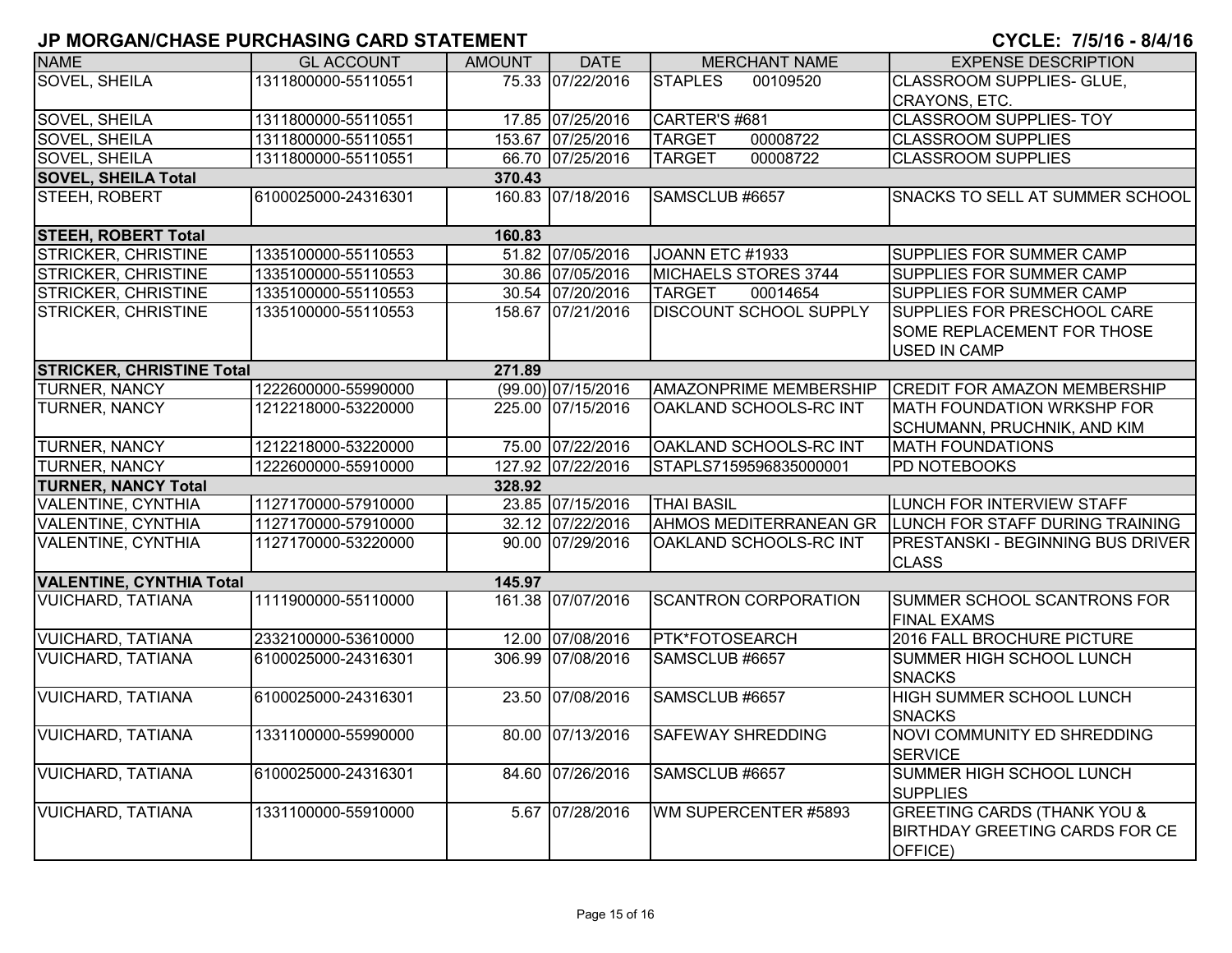| <b>NAME</b>                      | <b>GL ACCOUNT</b>   | <b>AMOUNT</b> | <b>DATE</b>        | <b>MERCHANT NAME</b>          | <b>EXPENSE DESCRIPTION</b>                                                                 |
|----------------------------------|---------------------|---------------|--------------------|-------------------------------|--------------------------------------------------------------------------------------------|
| <b>SOVEL, SHEILA</b>             | 1311800000-55110551 |               | 75.33 07/22/2016   | <b>STAPLES</b><br>00109520    | <b>CLASSROOM SUPPLIES- GLUE,</b>                                                           |
|                                  |                     |               |                    |                               | CRAYONS, ETC.                                                                              |
| <b>SOVEL, SHEILA</b>             | 1311800000-55110551 |               | 17.85 07/25/2016   | CARTER'S #681                 | <b>CLASSROOM SUPPLIES- TOY</b>                                                             |
| <b>SOVEL, SHEILA</b>             | 1311800000-55110551 |               | 153.67 07/25/2016  | 00008722<br><b>TARGET</b>     | <b>CLASSROOM SUPPLIES</b>                                                                  |
| <b>SOVEL, SHEILA</b>             | 1311800000-55110551 |               | 66.70 07/25/2016   | <b>TARGET</b><br>00008722     | <b>CLASSROOM SUPPLIES</b>                                                                  |
| <b>SOVEL, SHEILA Total</b>       |                     | 370.43        |                    |                               |                                                                                            |
| STEEH, ROBERT                    | 6100025000-24316301 |               | 160.83 07/18/2016  | SAMSCLUB #6657                | SNACKS TO SELL AT SUMMER SCHOOL                                                            |
| <b>STEEH, ROBERT Total</b>       |                     | 160.83        |                    |                               |                                                                                            |
| STRICKER, CHRISTINE              | 1335100000-55110553 |               | 51.82 07/05/2016   | JOANN ETC #1933               | SUPPLIES FOR SUMMER CAMP                                                                   |
| <b>STRICKER, CHRISTINE</b>       | 1335100000-55110553 |               | 30.86 07/05/2016   | MICHAELS STORES 3744          | SUPPLIES FOR SUMMER CAMP                                                                   |
| <b>STRICKER, CHRISTINE</b>       | 1335100000-55110553 |               | 30.54 07/20/2016   | <b>TARGET</b><br>00014654     | <b>SUPPLIES FOR SUMMER CAMP</b>                                                            |
| <b>STRICKER, CHRISTINE</b>       | 1335100000-55110553 |               | 158.67 07/21/2016  | <b>DISCOUNT SCHOOL SUPPLY</b> | SUPPLIES FOR PRESCHOOL CARE                                                                |
|                                  |                     |               |                    |                               | <b>SOME REPLACEMENT FOR THOSE</b>                                                          |
|                                  |                     |               |                    |                               | <b>USED IN CAMP</b>                                                                        |
| <b>STRICKER, CHRISTINE Total</b> |                     | 271.89        |                    |                               |                                                                                            |
| <b>TURNER, NANCY</b>             | 1222600000-55990000 |               | (99.00) 07/15/2016 | <b>AMAZONPRIME MEMBERSHIP</b> | <b>CREDIT FOR AMAZON MEMBERSHIP</b>                                                        |
| <b>TURNER, NANCY</b>             | 1212218000-53220000 |               | 225.00 07/15/2016  | OAKLAND SCHOOLS-RC INT        | <b>MATH FOUNDATION WRKSHP FOR</b><br>SCHUMANN, PRUCHNIK, AND KIM                           |
| <b>TURNER, NANCY</b>             | 1212218000-53220000 |               | 75.00 07/22/2016   | <b>OAKLAND SCHOOLS-RC INT</b> | <b>MATH FOUNDATIONS</b>                                                                    |
| <b>TURNER, NANCY</b>             | 1222600000-55910000 |               | 127.92 07/22/2016  | STAPLS7159596835000001        | PD NOTEBOOKS                                                                               |
| <b>TURNER, NANCY Total</b>       |                     | 328.92        |                    |                               |                                                                                            |
| <b>VALENTINE, CYNTHIA</b>        | 1127170000-57910000 |               | 23.85 07/15/2016   | <b>THAI BASIL</b>             | LUNCH FOR INTERVIEW STAFF                                                                  |
| <b>VALENTINE, CYNTHIA</b>        | 1127170000-57910000 |               | 32.12 07/22/2016   | <b>AHMOS MEDITERRANEAN GR</b> | LUNCH FOR STAFF DURING TRAINING                                                            |
| <b>VALENTINE, CYNTHIA</b>        | 1127170000-53220000 |               | 90.00 07/29/2016   | <b>OAKLAND SCHOOLS-RC INT</b> | <b>PRESTANSKI - BEGINNING BUS DRIVER</b>                                                   |
|                                  |                     |               |                    |                               | <b>CLASS</b>                                                                               |
| <b>VALENTINE, CYNTHIA Total</b>  |                     | 145.97        |                    |                               |                                                                                            |
| <b>VUICHARD, TATIANA</b>         | 1111900000-55110000 |               | 161.38 07/07/2016  | <b>SCANTRON CORPORATION</b>   | SUMMER SCHOOL SCANTRONS FOR<br><b>FINAL EXAMS</b>                                          |
| <b>VUICHARD, TATIANA</b>         | 2332100000-53610000 |               | 12.00 07/08/2016   | <b>PTK*FOTOSEARCH</b>         | 2016 FALL BROCHURE PICTURE                                                                 |
| <b>VUICHARD, TATIANA</b>         | 6100025000-24316301 |               | 306.99 07/08/2016  | SAMSCLUB #6657                | SUMMER HIGH SCHOOL LUNCH<br><b>SNACKS</b>                                                  |
| <b>VUICHARD, TATIANA</b>         | 6100025000-24316301 |               | 23.50 07/08/2016   | SAMSCLUB #6657                | HIGH SUMMER SCHOOL LUNCH                                                                   |
|                                  |                     |               | 80.00 07/13/2016   |                               | <b>SNACKS</b>                                                                              |
| <b>VUICHARD, TATIANA</b>         | 1331100000-55990000 |               |                    | <b>SAFEWAY SHREDDING</b>      | NOVI COMMUNITY ED SHREDDING<br><b>SERVICE</b>                                              |
| <b>VUICHARD, TATIANA</b>         | 6100025000-24316301 |               | 84.60 07/26/2016   | SAMSCLUB #6657                | <b>SUMMER HIGH SCHOOL LUNCH</b><br><b>SUPPLIES</b>                                         |
| <b>VUICHARD, TATIANA</b>         | 1331100000-55910000 |               | 5.67 07/28/2016    | WM SUPERCENTER #5893          | <b>GREETING CARDS (THANK YOU &amp;</b><br><b>BIRTHDAY GREETING CARDS FOR CE</b><br>OFFICE) |